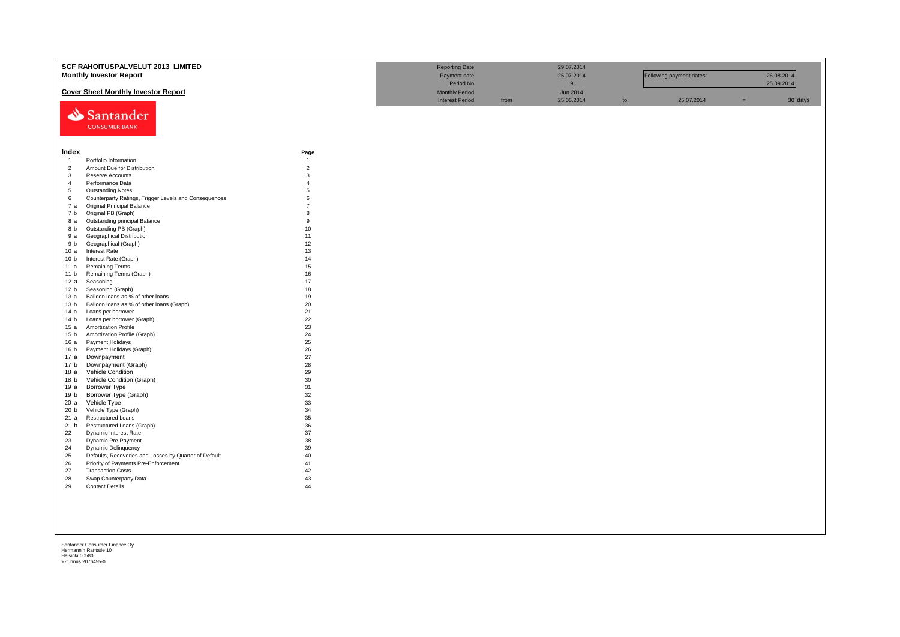|                 | SCF RAHOITUSPALVELUT 2013 LIMITED                     |                | <b>Reporting Date</b>  |      | 29.07.2014  |    |                          |     |            |
|-----------------|-------------------------------------------------------|----------------|------------------------|------|-------------|----|--------------------------|-----|------------|
|                 | <b>Monthly Investor Report</b>                        |                | Payment date           |      | 25.07.2014  |    | Following payment dates: |     | 26.08.2014 |
|                 |                                                       |                | Period No              |      | $\mathsf g$ |    |                          |     | 25.09.2014 |
|                 |                                                       |                |                        |      |             |    |                          |     |            |
|                 | <b>Cover Sheet Monthly Investor Report</b>            |                | <b>Monthly Period</b>  |      | Jun 2014    |    |                          |     |            |
|                 |                                                       |                | <b>Interest Period</b> | from | 25.06.2014  | to | 25.07.2014               | $=$ | 30 days    |
|                 | Santander                                             |                |                        |      |             |    |                          |     |            |
|                 |                                                       |                |                        |      |             |    |                          |     |            |
|                 | <b>CONSUMER BANK</b>                                  |                |                        |      |             |    |                          |     |            |
|                 |                                                       |                |                        |      |             |    |                          |     |            |
|                 |                                                       |                |                        |      |             |    |                          |     |            |
| Index           |                                                       | Page           |                        |      |             |    |                          |     |            |
| $\overline{1}$  | Portfolio Information                                 | $\overline{1}$ |                        |      |             |    |                          |     |            |
| $\overline{2}$  | Amount Due for Distribution                           | $\overline{2}$ |                        |      |             |    |                          |     |            |
| $\mathbf{3}$    | Reserve Accounts                                      | 3              |                        |      |             |    |                          |     |            |
| $\overline{4}$  | Performance Data                                      | $\overline{A}$ |                        |      |             |    |                          |     |            |
| 5               | <b>Outstanding Notes</b>                              | $\overline{5}$ |                        |      |             |    |                          |     |            |
| 6               | Counterparty Ratings, Trigger Levels and Consequences | 6              |                        |      |             |    |                          |     |            |
| 7a              | Original Principal Balance                            | $\overline{7}$ |                        |      |             |    |                          |     |            |
| 7 b             | Original PB (Graph)                                   | 8              |                        |      |             |    |                          |     |            |
| 8 a             | Outstanding principal Balance                         | 9              |                        |      |             |    |                          |     |            |
| 8 b             | Outstanding PB (Graph)                                | 10             |                        |      |             |    |                          |     |            |
| 9 a             | Geographical Distribution                             | 11             |                        |      |             |    |                          |     |            |
| 9 b             | Geographical (Graph)                                  | 12             |                        |      |             |    |                          |     |            |
| 10a             | <b>Interest Rate</b>                                  | 13             |                        |      |             |    |                          |     |            |
| 10 <sub>b</sub> | Interest Rate (Graph)                                 | 14             |                        |      |             |    |                          |     |            |
| 11 a            | <b>Remaining Terms</b>                                | 15             |                        |      |             |    |                          |     |            |
| 11 <sub>b</sub> | Remaining Terms (Graph)                               | 16             |                        |      |             |    |                          |     |            |
| 12a             | Seasoning                                             | 17             |                        |      |             |    |                          |     |            |
| 12 <sub>b</sub> | Seasoning (Graph)                                     | 18             |                        |      |             |    |                          |     |            |
| 13 а            | Balloon loans as % of other loans                     | 19             |                        |      |             |    |                          |     |            |
| 13 <sub>b</sub> | Balloon loans as % of other loans (Graph)             | 20             |                        |      |             |    |                          |     |            |
| 14 a            | Loans per borrower                                    | 21             |                        |      |             |    |                          |     |            |
| 14 <sub>b</sub> | Loans per borrower (Graph)                            | 22             |                        |      |             |    |                          |     |            |
| 15a             | Amortization Profile                                  | 23             |                        |      |             |    |                          |     |            |
| 15 <sub>b</sub> | Amortization Profile (Graph)                          | 24             |                        |      |             |    |                          |     |            |
| 16 a            | Payment Holidays                                      | 25             |                        |      |             |    |                          |     |            |
| 16 <sub>b</sub> | Payment Holidays (Graph)                              | 26             |                        |      |             |    |                          |     |            |
| 17 a            | Downpayment                                           | 27             |                        |      |             |    |                          |     |            |
| 17 b            | Downpayment (Graph)                                   | 28             |                        |      |             |    |                          |     |            |
| 18a             | Vehicle Condition                                     | 29             |                        |      |             |    |                          |     |            |
| 18 <sub>b</sub> | Vehicle Condition (Graph)                             | 30             |                        |      |             |    |                          |     |            |
| 19 a            | Borrower Type                                         | 31             |                        |      |             |    |                          |     |            |
| 19 b            | Borrower Type (Graph)                                 | 32             |                        |      |             |    |                          |     |            |
| 20a             | Vehicle Type                                          | 33             |                        |      |             |    |                          |     |            |
| 20 <sub>b</sub> | Vehicle Type (Graph)                                  | 34             |                        |      |             |    |                          |     |            |
| 21a             | <b>Restructured Loans</b>                             | 35             |                        |      |             |    |                          |     |            |
| 21 b            | Restructured Loans (Graph)                            | 36             |                        |      |             |    |                          |     |            |
| 22              | Dynamic Interest Rate                                 | 37             |                        |      |             |    |                          |     |            |
| 23              | Dynamic Pre-Payment                                   | 38             |                        |      |             |    |                          |     |            |
| 24              | <b>Dynamic Delinquency</b>                            | 39             |                        |      |             |    |                          |     |            |
| 25              | Defaults, Recoveries and Losses by Quarter of Default | 40             |                        |      |             |    |                          |     |            |
| 26              | Priority of Payments Pre-Enforcement                  | 41             |                        |      |             |    |                          |     |            |
| 27              | <b>Transaction Costs</b>                              | 42             |                        |      |             |    |                          |     |            |
| 28              | Swap Counterparty Data                                | 43             |                        |      |             |    |                          |     |            |
| 29              | <b>Contact Details</b>                                | 44             |                        |      |             |    |                          |     |            |
|                 |                                                       |                |                        |      |             |    |                          |     |            |
|                 |                                                       |                |                        |      |             |    |                          |     |            |
|                 |                                                       |                |                        |      |             |    |                          |     |            |
|                 |                                                       |                |                        |      |             |    |                          |     |            |
|                 |                                                       |                |                        |      |             |    |                          |     |            |
|                 |                                                       |                |                        |      |             |    |                          |     |            |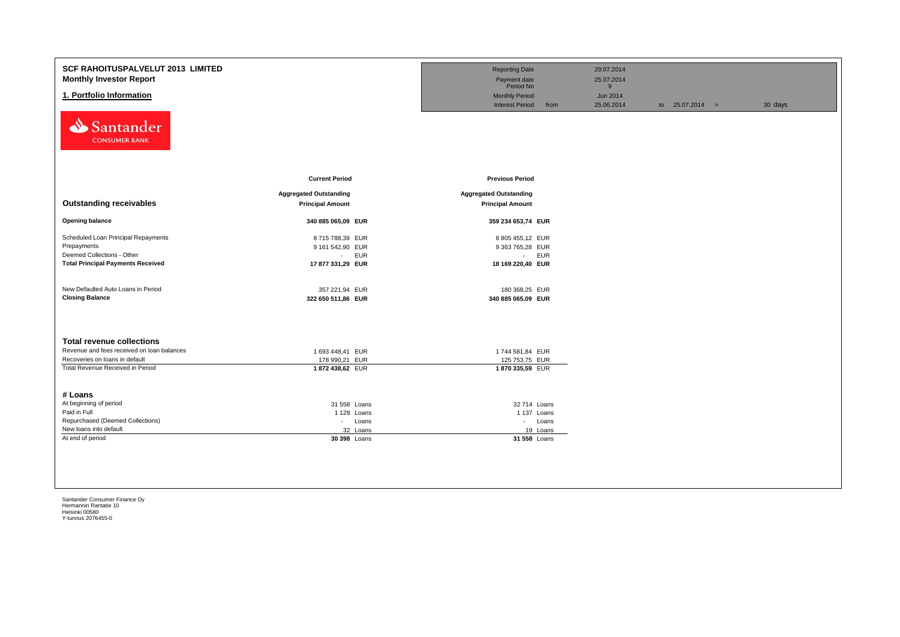| <b>SCF RAHOITUSPALVELUT 2013 LIMITED</b><br><b>Monthly Investor Report</b><br>1. Portfolio Information<br>Santander<br><b>CONSUMER BANK</b>          |                                                                                   | <b>Reporting Date</b><br>Payment date<br>Period No<br><b>Monthly Period</b><br><b>Interest Period</b><br>from | 29.07.2014<br>25.07.2014<br>9<br><b>Jun 2014</b><br>25.06.2014 | to $25.07.2014 =$ | 30 days |
|------------------------------------------------------------------------------------------------------------------------------------------------------|-----------------------------------------------------------------------------------|---------------------------------------------------------------------------------------------------------------|----------------------------------------------------------------|-------------------|---------|
| <b>Outstanding receivables</b>                                                                                                                       | <b>Current Period</b><br><b>Aggregated Outstanding</b><br><b>Principal Amount</b> | <b>Previous Period</b><br><b>Aggregated Outstanding</b><br><b>Principal Amount</b>                            |                                                                |                   |         |
| <b>Opening balance</b>                                                                                                                               | 340 885 065,09 EUR                                                                | 359 234 653,74 EUR                                                                                            |                                                                |                   |         |
| Scheduled Loan Principal Repayments<br>Prepayments<br>Deemed Collections - Other<br><b>Total Principal Payments Received</b>                         | 8715788,39 EUR<br>9 161 542,90 EUR<br>- EUR<br>17 877 331,29 EUR                  | 8 805 455,12 EUR<br>9 363 765,28 EUR<br>- EUR<br>18 169 220,40 EUR                                            |                                                                |                   |         |
| New Defaulted Auto Loans in Period<br><b>Closing Balance</b>                                                                                         | 357 221,94 EUR<br>322 650 511,86 EUR                                              | 180 368,25 EUR<br>340 885 065,09 EUR                                                                          |                                                                |                   |         |
| <b>Total revenue collections</b><br>Revenue and fees received on loan balances<br>Recoveries on loans in default<br>Total Revenue Received in Period | 1 693 448,41 EUR<br>178 990,21 EUR<br>1872 438,62 EUR                             | 1744 581,84 EUR<br>125 753,75 EUR<br>1870 335,59 EUR                                                          |                                                                |                   |         |
| # Loans<br>At beginning of period                                                                                                                    |                                                                                   |                                                                                                               |                                                                |                   |         |
| Paid in Full                                                                                                                                         | 31 558 Loans<br>1 128 Loans                                                       | 32 714 Loans<br>1 137 Loans                                                                                   |                                                                |                   |         |
| Repurchased (Deemed Collections)                                                                                                                     | - Loans                                                                           | - Loans                                                                                                       |                                                                |                   |         |
| New loans into default                                                                                                                               | 32 Loans                                                                          | 19 Loans                                                                                                      |                                                                |                   |         |
| At end of period                                                                                                                                     | 30 398 Loans                                                                      | 31 558 Loans                                                                                                  |                                                                |                   |         |
|                                                                                                                                                      |                                                                                   |                                                                                                               |                                                                |                   |         |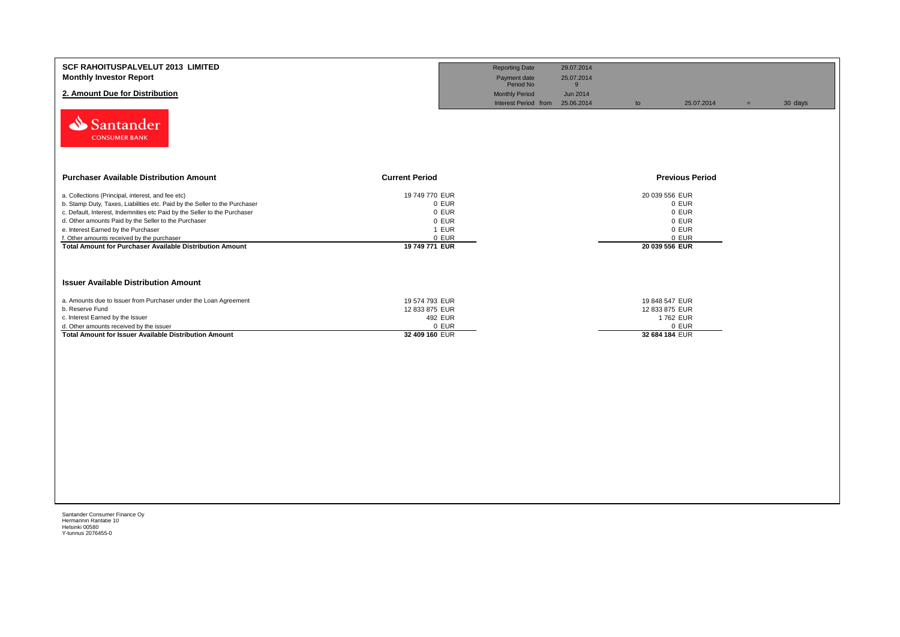| SCF RAHOITUSPALVELUT 2013 LIMITED<br><b>Monthly Investor Report</b><br>2. Amount Due for Distribution<br>Santander<br><b>CONSUMER BANK</b>                                                                                                                                                                                                                                                                            |                                                                               | <b>Reporting Date</b><br>Payment date<br>Period No<br><b>Monthly Period</b><br>Interest Period from | 29.07.2014<br>25.07.2014<br>9<br>Jun 2014<br>25.06.2014 | to                                                             | 25.07.2014                                | $=$ | 30 days |
|-----------------------------------------------------------------------------------------------------------------------------------------------------------------------------------------------------------------------------------------------------------------------------------------------------------------------------------------------------------------------------------------------------------------------|-------------------------------------------------------------------------------|-----------------------------------------------------------------------------------------------------|---------------------------------------------------------|----------------------------------------------------------------|-------------------------------------------|-----|---------|
| <b>Purchaser Available Distribution Amount</b>                                                                                                                                                                                                                                                                                                                                                                        | <b>Current Period</b>                                                         |                                                                                                     |                                                         |                                                                | <b>Previous Period</b>                    |     |         |
| a. Collections (Principal, interest, and fee etc)<br>b. Stamp Duty, Taxes, Liabilities etc. Paid by the Seller to the Purchaser<br>c. Default, Interest, Indemnities etc Paid by the Seller to the Purchaser<br>d. Other amounts Paid by the Seller to the Purchaser<br>e. Interest Earned by the Purchaser<br>f. Other amounts received by the purchaser<br>Total Amount for Purchaser Available Distribution Amount | 19 749 770 EUR<br>0 EUR<br>0 EUR<br>0 EUR<br>1 EUR<br>0 EUR<br>19 749 771 EUR |                                                                                                     |                                                         | 20 039 556 EUR<br>20 039 556 EUR                               | 0 EUR<br>0 EUR<br>0 EUR<br>0 EUR<br>0 EUR |     |         |
| <b>Issuer Available Distribution Amount</b>                                                                                                                                                                                                                                                                                                                                                                           |                                                                               |                                                                                                     |                                                         |                                                                |                                           |     |         |
| a. Amounts due to Issuer from Purchaser under the Loan Agreement<br>b. Reserve Fund<br>c. Interest Earned by the Issuer<br>d. Other amounts received by the issuer<br><b>Total Amount for Issuer Available Distribution Amount</b>                                                                                                                                                                                    | 19 574 793 EUR<br>12 833 875 EUR<br>492 EUR<br>0 EUR<br>32 409 160 EUR        |                                                                                                     |                                                         | 19 848 547 EUR<br>12 833 875 EUR<br>1762 EUR<br>32 684 184 EUR | 0 EUR                                     |     |         |
|                                                                                                                                                                                                                                                                                                                                                                                                                       |                                                                               |                                                                                                     |                                                         |                                                                |                                           |     |         |
|                                                                                                                                                                                                                                                                                                                                                                                                                       |                                                                               |                                                                                                     |                                                         |                                                                |                                           |     |         |
|                                                                                                                                                                                                                                                                                                                                                                                                                       |                                                                               |                                                                                                     |                                                         |                                                                |                                           |     |         |
|                                                                                                                                                                                                                                                                                                                                                                                                                       |                                                                               |                                                                                                     |                                                         |                                                                |                                           |     |         |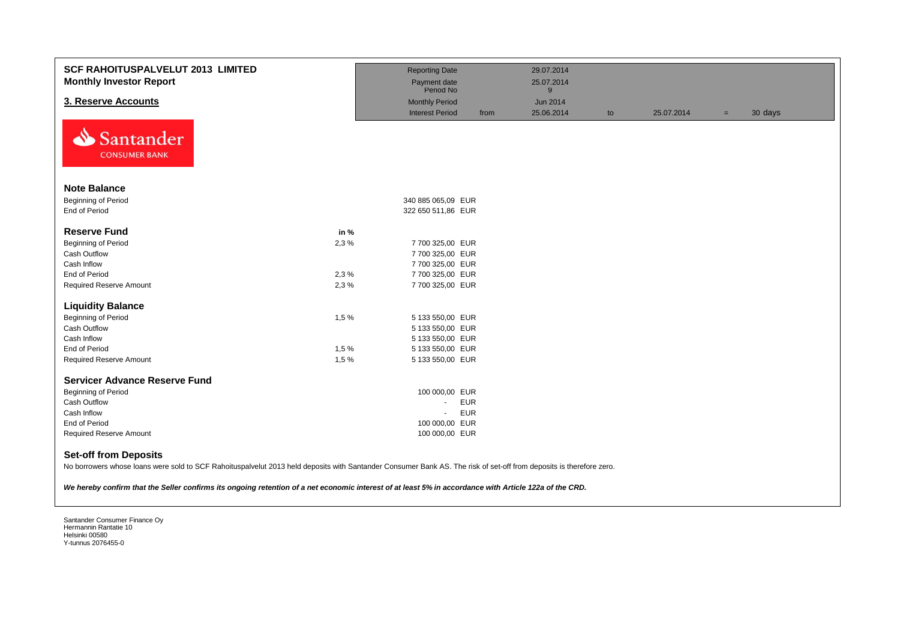| <b>SCF RAHOITUSPALVELUT 2013 LIMITED</b><br><b>Monthly Investor Report</b>                                                                                                                                                                                                                                                                                    |      | <b>Reporting Date</b><br>Payment date<br>Period No |            | 29.07.2014<br>25.07.2014<br>9 |    |            |     |         |
|---------------------------------------------------------------------------------------------------------------------------------------------------------------------------------------------------------------------------------------------------------------------------------------------------------------------------------------------------------------|------|----------------------------------------------------|------------|-------------------------------|----|------------|-----|---------|
| 3. Reserve Accounts                                                                                                                                                                                                                                                                                                                                           |      | <b>Monthly Period</b>                              |            | <b>Jun 2014</b>               |    |            |     |         |
|                                                                                                                                                                                                                                                                                                                                                               |      | <b>Interest Period</b>                             | from       | 25.06.2014                    | to | 25.07.2014 | $=$ | 30 days |
| Santander<br><b>CONSUMER BANK</b>                                                                                                                                                                                                                                                                                                                             |      |                                                    |            |                               |    |            |     |         |
| <b>Note Balance</b>                                                                                                                                                                                                                                                                                                                                           |      |                                                    |            |                               |    |            |     |         |
| Beginning of Period                                                                                                                                                                                                                                                                                                                                           |      | 340 885 065,09 EUR                                 |            |                               |    |            |     |         |
| End of Period                                                                                                                                                                                                                                                                                                                                                 |      | 322 650 511,86 EUR                                 |            |                               |    |            |     |         |
| <b>Reserve Fund</b>                                                                                                                                                                                                                                                                                                                                           | in % |                                                    |            |                               |    |            |     |         |
| Beginning of Period                                                                                                                                                                                                                                                                                                                                           | 2,3% | 7 700 325,00 EUR                                   |            |                               |    |            |     |         |
| Cash Outflow                                                                                                                                                                                                                                                                                                                                                  |      | 7 700 325,00 EUR                                   |            |                               |    |            |     |         |
| Cash Inflow                                                                                                                                                                                                                                                                                                                                                   |      | 7 700 325,00 EUR                                   |            |                               |    |            |     |         |
| <b>End of Period</b>                                                                                                                                                                                                                                                                                                                                          | 2,3% | 7 700 325,00 EUR                                   |            |                               |    |            |     |         |
| <b>Required Reserve Amount</b>                                                                                                                                                                                                                                                                                                                                | 2.3% | 7 700 325,00 EUR                                   |            |                               |    |            |     |         |
| <b>Liquidity Balance</b>                                                                                                                                                                                                                                                                                                                                      |      |                                                    |            |                               |    |            |     |         |
| Beginning of Period                                                                                                                                                                                                                                                                                                                                           | 1,5% | 5 133 550,00 EUR                                   |            |                               |    |            |     |         |
| Cash Outflow                                                                                                                                                                                                                                                                                                                                                  |      | 5 133 550,00 EUR                                   |            |                               |    |            |     |         |
| Cash Inflow                                                                                                                                                                                                                                                                                                                                                   |      | 5 133 550,00 EUR                                   |            |                               |    |            |     |         |
| End of Period                                                                                                                                                                                                                                                                                                                                                 | 1,5% | 5 133 550,00 EUR                                   |            |                               |    |            |     |         |
| <b>Required Reserve Amount</b>                                                                                                                                                                                                                                                                                                                                | 1,5% | 5 133 550,00 EUR                                   |            |                               |    |            |     |         |
| <b>Servicer Advance Reserve Fund</b>                                                                                                                                                                                                                                                                                                                          |      |                                                    |            |                               |    |            |     |         |
| Beginning of Period                                                                                                                                                                                                                                                                                                                                           |      | 100 000,00 EUR                                     |            |                               |    |            |     |         |
| <b>Cash Outflow</b>                                                                                                                                                                                                                                                                                                                                           |      | $\blacksquare$                                     | <b>EUR</b> |                               |    |            |     |         |
| Cash Inflow                                                                                                                                                                                                                                                                                                                                                   |      | $\blacksquare$                                     | <b>EUR</b> |                               |    |            |     |         |
| End of Period                                                                                                                                                                                                                                                                                                                                                 |      | 100 000,00 EUR                                     |            |                               |    |            |     |         |
| <b>Required Reserve Amount</b>                                                                                                                                                                                                                                                                                                                                |      | 100 000,00 EUR                                     |            |                               |    |            |     |         |
| <b>Set-off from Deposits</b><br>No borrowers whose loans were sold to SCF Rahoituspalvelut 2013 held deposits with Santander Consumer Bank AS. The risk of set-off from deposits is therefore zero.<br>We hereby confirm that the Seller confirms its ongoing retention of a net economic interest of at least 5% in accordance with Article 122a of the CRD. |      |                                                    |            |                               |    |            |     |         |
|                                                                                                                                                                                                                                                                                                                                                               |      |                                                    |            |                               |    |            |     |         |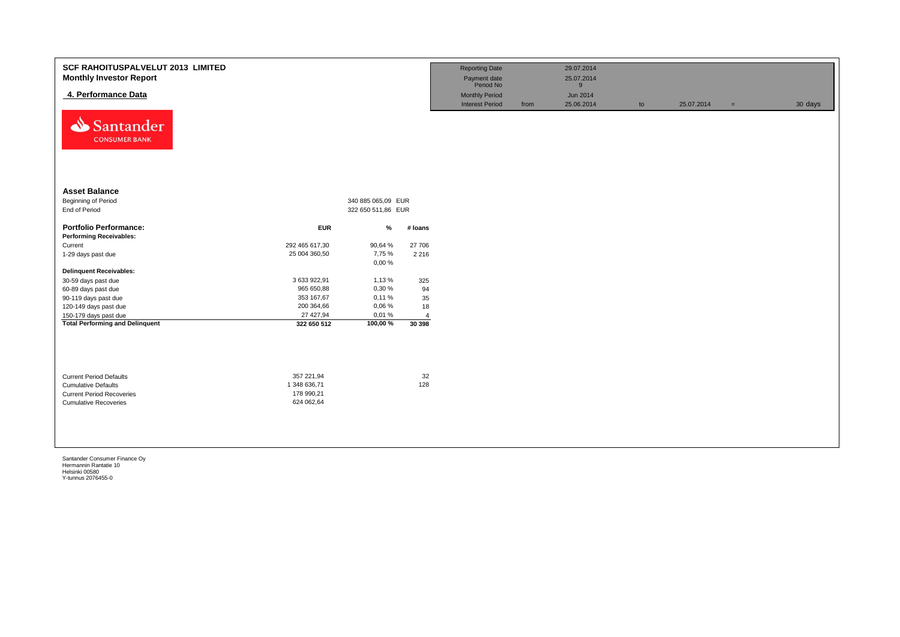| <b>SCF RAHOITUSPALVELUT 2013 LIMITED</b><br><b>Monthly Investor Report</b><br>4. Performance Data<br>Santander<br>⇘<br><b>CONSUMER BANK</b> |                                                        |                    |                | <b>Reporting Date</b><br>Payment date<br>Period No<br><b>Monthly Period</b><br><b>Interest Period</b> | from | 29.07.2014<br>25.07.2014<br>9<br>Jun 2014<br>25.06.2014 | to | 25.07.2014 | $=$ | 30 days |
|---------------------------------------------------------------------------------------------------------------------------------------------|--------------------------------------------------------|--------------------|----------------|-------------------------------------------------------------------------------------------------------|------|---------------------------------------------------------|----|------------|-----|---------|
| <b>Asset Balance</b>                                                                                                                        |                                                        |                    |                |                                                                                                       |      |                                                         |    |            |     |         |
| Beginning of Period                                                                                                                         |                                                        | 340 885 065,09 EUR |                |                                                                                                       |      |                                                         |    |            |     |         |
| End of Period                                                                                                                               |                                                        | 322 650 511,86 EUR |                |                                                                                                       |      |                                                         |    |            |     |         |
|                                                                                                                                             |                                                        |                    |                |                                                                                                       |      |                                                         |    |            |     |         |
| <b>Portfolio Performance:</b>                                                                                                               | <b>EUR</b>                                             | %                  | # Ioans        |                                                                                                       |      |                                                         |    |            |     |         |
| <b>Performing Receivables:</b>                                                                                                              |                                                        |                    |                |                                                                                                       |      |                                                         |    |            |     |         |
| Current                                                                                                                                     | 292 465 617,30                                         | 90,64%             | 27 706         |                                                                                                       |      |                                                         |    |            |     |         |
| 1-29 days past due                                                                                                                          | 25 004 360,50                                          | 7,75 %             | 2 2 1 6        |                                                                                                       |      |                                                         |    |            |     |         |
|                                                                                                                                             |                                                        | 0,00%              |                |                                                                                                       |      |                                                         |    |            |     |         |
| <b>Delinquent Receivables:</b>                                                                                                              |                                                        |                    |                |                                                                                                       |      |                                                         |    |            |     |         |
| 30-59 days past due                                                                                                                         | 3 633 922,91                                           | 1,13%              | 325            |                                                                                                       |      |                                                         |    |            |     |         |
| 60-89 days past due                                                                                                                         | 965 650,88                                             | 0,30%              | 94             |                                                                                                       |      |                                                         |    |            |     |         |
| 90-119 days past due                                                                                                                        | 353 167,67                                             | 0,11%              | 35             |                                                                                                       |      |                                                         |    |            |     |         |
| 120-149 days past due                                                                                                                       | 200 364,66                                             | 0,06%              | 18             |                                                                                                       |      |                                                         |    |            |     |         |
| 150-179 days past due                                                                                                                       | 27 427,94                                              | 0,01%              | $\overline{4}$ |                                                                                                       |      |                                                         |    |            |     |         |
| <b>Total Performing and Delinquent</b>                                                                                                      | 322 650 512                                            | 100,00%            | 30 398         |                                                                                                       |      |                                                         |    |            |     |         |
| <b>Current Period Defaults</b><br><b>Cumulative Defaults</b><br><b>Current Period Recoveries</b><br><b>Cumulative Recoveries</b>            | 357 221,94<br>1 348 636,71<br>178 990,21<br>624 062,64 |                    | 32<br>128      |                                                                                                       |      |                                                         |    |            |     |         |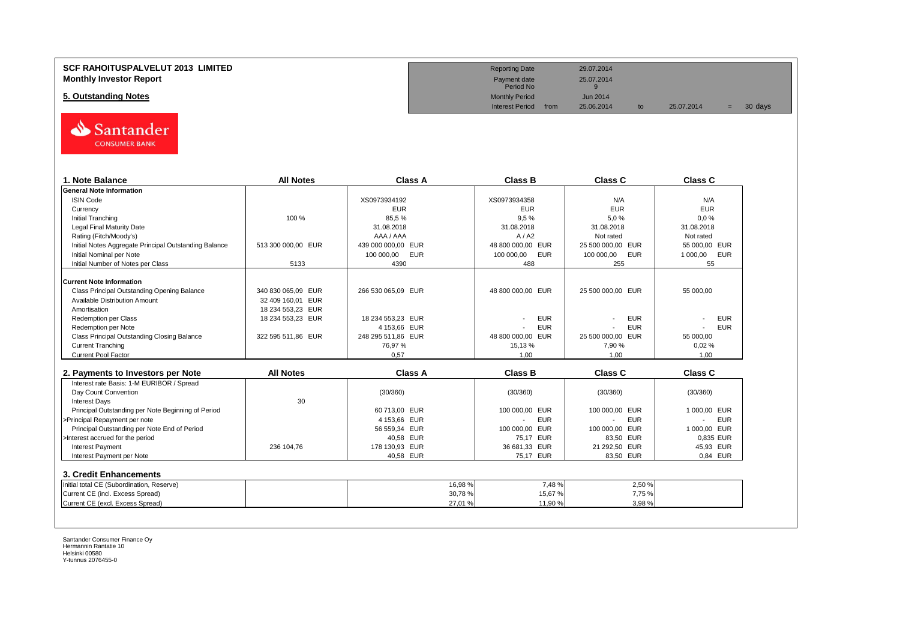## **SCF RAHOITUSPALVELUT 2013 LIMITED** 29.07.2014 **Monthly Investor Report**<br>
Monthly Investor Report<br>
<sup>25.07.2014</sup><br>
<sup>Payment date</sup> 25.07.2014

**5. Outstanding Notes** Monthly Period Jun 2014<br> **5. Outstanding Notes** Jun 2014<br>
Interest Period from 25.06.2014



| 1. Note Balance                                       | <b>All Notes</b>   | Class A                  | <b>Class B</b>       | Class C           | Class C                      |
|-------------------------------------------------------|--------------------|--------------------------|----------------------|-------------------|------------------------------|
| <b>General Note Information</b>                       |                    |                          |                      |                   |                              |
| <b>ISIN Code</b>                                      |                    | XS0973934192             | XS0973934358         | N/A               | N/A                          |
| Currency                                              |                    | <b>EUR</b>               | <b>EUR</b>           | <b>EUR</b>        | <b>EUR</b>                   |
| <b>Initial Tranching</b>                              | 100 %              | 85,5%                    | 9.5%                 | 5.0%              | 0.0%                         |
| <b>Legal Final Maturity Date</b>                      |                    | 31.08.2018               | 31.08.2018           | 31.08.2018        | 31.08.2018                   |
| Rating (Fitch/Moody's)                                |                    | AAA / AAA                | A/ A2                | Not rated         | Not rated                    |
| Initial Notes Aggregate Principal Outstanding Balance | 513 300 000,00 EUR | 439 000 000,00 EUR       | 48 800 000.00 EUR    | 25 500 000,00 EUR | 55 000.00 EUR                |
| Initial Nominal per Note                              |                    | 100 000,00<br><b>EUR</b> | 100 000,00<br>EUR    | 100 000.00<br>EUR | 1 000,00<br>EUR              |
| Initial Number of Notes per Class                     | 5133               | 4390                     | 488                  | 255               | 55                           |
| <b>Current Note Information</b>                       |                    |                          |                      |                   |                              |
| Class Principal Outstanding Opening Balance           | 340 830 065,09 EUR | 266 530 065,09 EUR       | 48 800 000,00 EUR    | 25 500 000,00 EUR | 55 000,00                    |
| <b>Available Distribution Amount</b>                  | 32 409 160.01 EUR  |                          |                      |                   |                              |
| Amortisation                                          | 18 234 553,23 EUR  |                          |                      |                   |                              |
| Redemption per Class                                  | 18 234 553,23 EUR  | 18 234 553,23 EUR        | <b>EUR</b>           | <b>EUR</b>        | <b>EUR</b>                   |
| Redemption per Note                                   |                    | 4 153.66 EUR             | <b>EUR</b>           | <b>EUR</b>        | <b>EUR</b>                   |
| Class Principal Outstanding Closing Balance           | 322 595 511,86 EUR | 248 295 511,86 EUR       | 48 800 000.00 EUR    | 25 500 000,00 EUR | 55 000,00                    |
| <b>Current Tranching</b>                              |                    | 76,97%                   | 15,13%               | 7,90 %            | 0.02%                        |
| <b>Current Pool Factor</b>                            |                    | 0.57                     | 1.00                 | 1.00              | 1.00                         |
| 2. Payments to Investors per Note                     | <b>All Notes</b>   | <b>Class A</b>           | <b>Class B</b>       | <b>Class C</b>    | <b>Class C</b>               |
| Interest rate Basis: 1-M EURIBOR / Spread             |                    |                          |                      |                   |                              |
| Day Count Convention                                  |                    | (30/360)                 | (30/360)             | (30/360)          | (30/360)                     |
| <b>Interest Days</b>                                  | 30                 |                          |                      |                   |                              |
| Principal Outstanding per Note Beginning of Period    |                    | 60 713.00 EUR            | 100 000.00 EUR       | 100 000.00 EUR    | 1 000,00 EUR                 |
| >Principal Repayment per note                         |                    | 4 153,66 EUR             | <b>EUR</b><br>$\sim$ | <b>EUR</b>        | <b>EUR</b><br>$\blacksquare$ |
| Principal Outstanding per Note End of Period          |                    | 56 559,34 EUR            | 100 000.00 EUR       | 100 000,00 EUR    | 1 000,00 EUR                 |
| >Interest accrued for the period                      |                    | 40.58 EUR                | 75.17 EUR            | 83.50 EUR         | 0.835 EUR                    |
| <b>Interest Payment</b>                               | 236 104,76         | 178 130,93 EUR           | 36 681,33 EUR        | 21 292,50 EUR     | 45,93 EUR                    |
| Interest Payment per Note                             |                    | 40,58 EUR                | 75,17 EUR            | 83,50 EUR         | 0,84 EUR                     |
|                                                       |                    |                          |                      |                   |                              |
| 3. Credit Enhancements                                |                    |                          |                      |                   |                              |
| Initial total CE (Subordination, Reserve)             |                    | 16,98 %                  | 7,48%                | 2,50 %            |                              |
| Current CE (incl. Excess Spread)                      |                    | 30,78%                   | 15,67%               | 7,75 %            |                              |
| Current CE (excl. Excess Spread)                      |                    | 27,01%                   | 11,90 %              | 3,98%             |                              |

Payment date<br>Period No

Interest Period from 25.06.2014 to 25.07.2014 = 30 days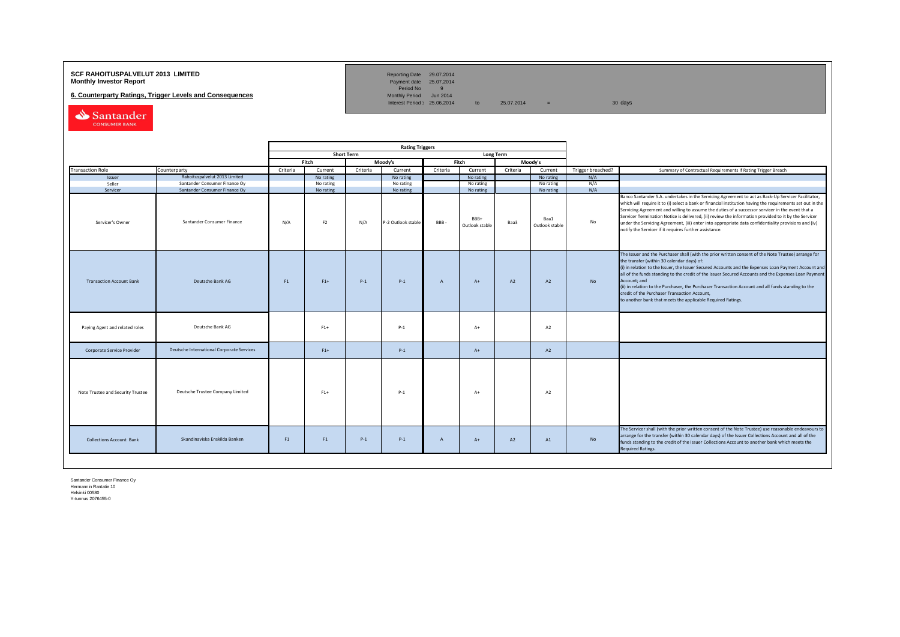## **SCF RAHOITUSPALVELUT 2013 LIMITED**<br>**Monthly Investor Report** Payment date 25.07.2014

**6. Counterparty Ratings, Trigger Levels and Consequences** 

Reporting Date 29.07.2014<br>Payment date 25.07.2014<br>Period No 9<br>Monthly Period Jun 2014

Interest Period:  $25.06.2014$  to  $25.07.2014$  = 30 days

Santander CONSUMER BANK

|                                   |                                           | <b>Rating Triggers</b> |                |                   |                    |                |                        |                  |                        |                   |                                                                                                                                                                                                                                                                                                                                                                                                                                                                                                                                                                                                        |
|-----------------------------------|-------------------------------------------|------------------------|----------------|-------------------|--------------------|----------------|------------------------|------------------|------------------------|-------------------|--------------------------------------------------------------------------------------------------------------------------------------------------------------------------------------------------------------------------------------------------------------------------------------------------------------------------------------------------------------------------------------------------------------------------------------------------------------------------------------------------------------------------------------------------------------------------------------------------------|
|                                   |                                           |                        |                | <b>Short Term</b> |                    |                |                        | <b>Long Term</b> |                        |                   |                                                                                                                                                                                                                                                                                                                                                                                                                                                                                                                                                                                                        |
|                                   |                                           |                        | Fitch          |                   | Moody's            |                | Fitch                  |                  | Moody's                |                   |                                                                                                                                                                                                                                                                                                                                                                                                                                                                                                                                                                                                        |
| <b>Transaction Role</b>           | Counterparty                              | Criteria               | Current        | Criteria          | Current            | Criteria       | Current                | Criteria         | Current                | Trigger breached? | Summary of Contractual Requirements if Rating Trigger Breach                                                                                                                                                                                                                                                                                                                                                                                                                                                                                                                                           |
| Issuer                            | Rahoituspalvelut 2013 Limited             |                        | No rating      |                   | No rating          |                | No rating              |                  | No rating              | N/A               |                                                                                                                                                                                                                                                                                                                                                                                                                                                                                                                                                                                                        |
| Seller                            | Santander Consumer Finance Oy             |                        | No rating      |                   | No rating          |                | No rating              |                  | No rating              | N/A               |                                                                                                                                                                                                                                                                                                                                                                                                                                                                                                                                                                                                        |
| Servicer                          | Santander Consumer Finance Oy             |                        | No rating      |                   | No rating          |                | No rating              |                  | No rating              | N/A               |                                                                                                                                                                                                                                                                                                                                                                                                                                                                                                                                                                                                        |
| Servicer's Owner                  | Santander Consumer Finance                | N/A                    | F <sub>2</sub> | N/A               | P-2 Outlook stable | BBB-           | BBB+<br>Outlook stable | Baa3             | Baa1<br>Outlook stable | No                | Banco Santander S.A. undertakes in the Servicing Agreement to act as Back-Up Servicer Facilitator,<br>which will require it to (i) select a bank or financial institution having the requirements set out in the<br>Servicing Agreement and willing to assume the duties of a successor servicer in the event that a<br>Servicer Termination Notice is delivered, (ii) review the information provided to it by the Servicer<br>under the Servicing Agreement, (iii) enter into appropriate data confidentiality provisions and (iv)<br>notify the Servicer if it requires further assistance.         |
| <b>Transaction Account Bank</b>   | Deutsche Bank AG                          | F1                     | $F1+$          | $P-1$             | $P-1$              | $\overline{A}$ | $A+$                   | A2               | A2                     | <b>No</b>         | The Issuer and the Purchaser shall (with the prior written consent of the Note Trustee) arrange for<br>the transfer (within 30 calendar days) of:<br>(i) in relation to the Issuer, the Issuer Secured Accounts and the Expenses Loan Payment Account and<br>all of the funds standing to the credit of the Issuer Secured Accounts and the Expenses Loan Payment<br>Account: and<br>(ii) in relation to the Purchaser, the Purchaser Transaction Account and all funds standing to the<br>credit of the Purchaser Transaction Account,<br>to another bank that meets the applicable Required Ratings. |
| Paying Agent and related roles    | Deutsche Bank AG                          |                        | $F1+$          |                   | $P-1$              |                | $A+$                   |                  | A2                     |                   |                                                                                                                                                                                                                                                                                                                                                                                                                                                                                                                                                                                                        |
| Corporate Service Provider        | Deutsche International Corporate Services |                        | $F1+$          |                   | $P-1$              |                | $A+$                   |                  | A2                     |                   |                                                                                                                                                                                                                                                                                                                                                                                                                                                                                                                                                                                                        |
| Note Trustee and Security Trustee | Deutsche Trustee Company Limited          |                        | $F1+$          |                   | $P-1$              |                | $A+$                   |                  | A2                     |                   |                                                                                                                                                                                                                                                                                                                                                                                                                                                                                                                                                                                                        |
| <b>Collections Account Bank</b>   | Skandinaviska Enskilda Banken             | F <sub>1</sub>         | F1             | $P-1$             | $P-1$              | $\overline{A}$ | $A+$                   | A2               | A1                     | No                | The Servicer shall (with the prior written consent of the Note Trustee) use reasonable endeavours to<br>arrange for the transfer (within 30 calendar days) of the Issuer Collections Account and all of the<br>funds standing to the credit of the Issuer Collections Account to another bank which meets the<br><b>Required Ratings.</b>                                                                                                                                                                                                                                                              |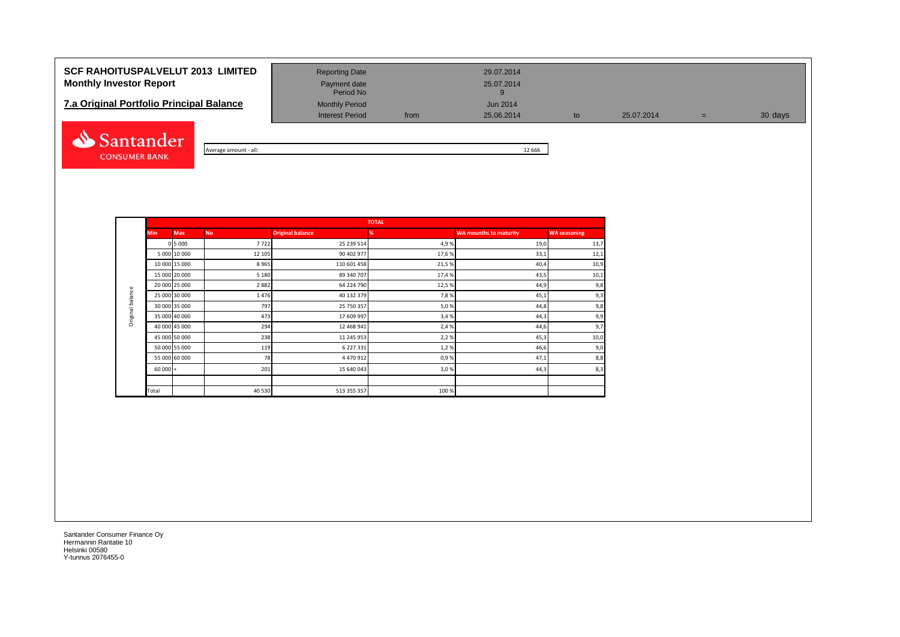## **SCF RAHOITUSPALVELUT 2013 LIMITED** Reporting Date 29.07.2014 **Monthly Investor Report Payment date** Payment date 25.07.2014

| <b>7.a Original Portfolio Principal Balance</b> | <b>Monthly Period</b>  |      | Jun 2014   |
|-------------------------------------------------|------------------------|------|------------|
|                                                 | <b>Interest Period</b> | from | 25.06.2014 |



Average amount - all: 12 666

Period No

Interest Period from 25.06.2014 to 25.07.2014 = 30 days

|                  | <b>Min</b> | <b>Max</b>    | <b>No</b>                                                                                                                                                                                                                                                                                                                                                                                                                                                                                                                         | <b>Original balance</b> | %     | <b>WA mounths to maturity</b> | <b>WA seasoning</b> |
|------------------|------------|---------------|-----------------------------------------------------------------------------------------------------------------------------------------------------------------------------------------------------------------------------------------------------------------------------------------------------------------------------------------------------------------------------------------------------------------------------------------------------------------------------------------------------------------------------------|-------------------------|-------|-------------------------------|---------------------|
|                  |            | 0 5 0 0 0     | <b>TOTAL</b><br>7722<br>25 239 514<br>4,9%<br>19,0<br>90 402 977<br>17,6%<br>12 10 5<br>33,1<br>8965<br>21,5%<br>110 601 458<br>40,4<br>89 340 707<br>17,4%<br>5 1 8 0<br>43,5<br>2882<br>64 224 790<br>12,5 %<br>44,9<br>40 132 379<br>7,8%<br>1476<br>45,1<br>797<br>25 750 357<br>5,0%<br>44,8<br>473<br>17 609 997<br>3,4%<br>44,3<br>294<br>12 468 941<br>2,4 %<br>44,6<br>238<br>2,2%<br>11 245 953<br>45,3<br>6 227 331<br>119<br>1,2%<br>46,6<br>78<br>0,9%<br>4 4 7 0 9 1 2<br>47,1<br>201<br>15 640 043<br>3,0%<br>44,3 | 13,7                    |       |                               |                     |
|                  |            | 5 000 10 000  |                                                                                                                                                                                                                                                                                                                                                                                                                                                                                                                                   |                         |       |                               | 12,1                |
|                  |            | 10 000 15 000 |                                                                                                                                                                                                                                                                                                                                                                                                                                                                                                                                   |                         |       |                               | 10,9                |
|                  |            | 15 000 20 000 |                                                                                                                                                                                                                                                                                                                                                                                                                                                                                                                                   |                         |       |                               | 10,1                |
|                  |            | 20 000 25 000 |                                                                                                                                                                                                                                                                                                                                                                                                                                                                                                                                   |                         |       |                               | 9,8                 |
| Original balance |            | 25 000 30 000 |                                                                                                                                                                                                                                                                                                                                                                                                                                                                                                                                   |                         |       |                               | 9,3                 |
|                  |            | 30 000 35 000 |                                                                                                                                                                                                                                                                                                                                                                                                                                                                                                                                   |                         |       |                               | 9,8                 |
|                  |            | 35 000 40 000 |                                                                                                                                                                                                                                                                                                                                                                                                                                                                                                                                   |                         |       |                               | 9,9                 |
|                  |            | 40 000 45 000 |                                                                                                                                                                                                                                                                                                                                                                                                                                                                                                                                   |                         |       |                               | 9,7                 |
|                  |            | 45 000 50 000 |                                                                                                                                                                                                                                                                                                                                                                                                                                                                                                                                   |                         |       |                               | 10,0                |
|                  |            | 50 000 55 000 |                                                                                                                                                                                                                                                                                                                                                                                                                                                                                                                                   |                         |       |                               | 9,0                 |
|                  |            | 55 000 60 000 |                                                                                                                                                                                                                                                                                                                                                                                                                                                                                                                                   |                         |       |                               | 8,8                 |
|                  | $60000 +$  |               |                                                                                                                                                                                                                                                                                                                                                                                                                                                                                                                                   |                         |       |                               | 8,3                 |
|                  |            |               |                                                                                                                                                                                                                                                                                                                                                                                                                                                                                                                                   |                         |       |                               |                     |
|                  | Total      |               | 40 530                                                                                                                                                                                                                                                                                                                                                                                                                                                                                                                            | 513 355 357             | 100 % |                               |                     |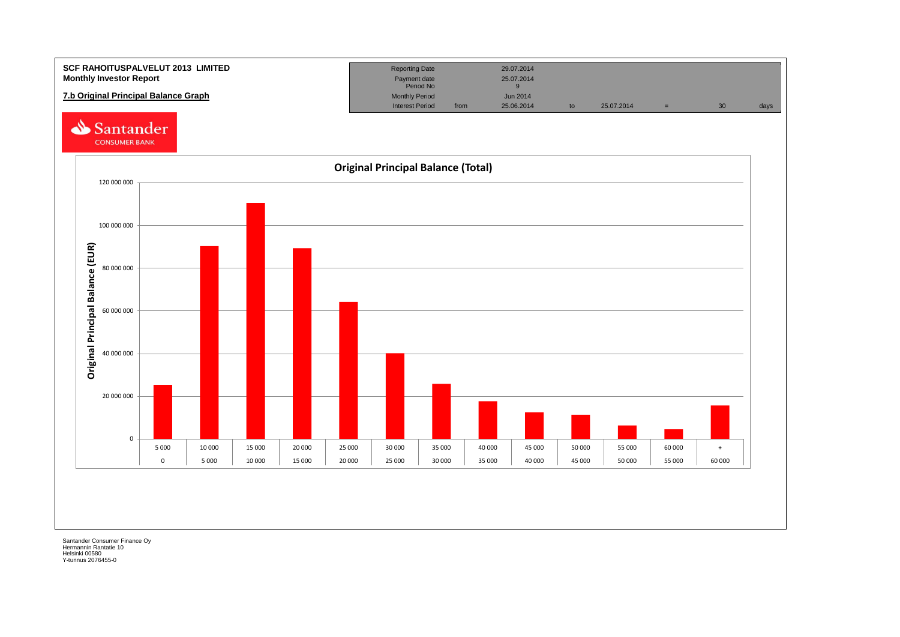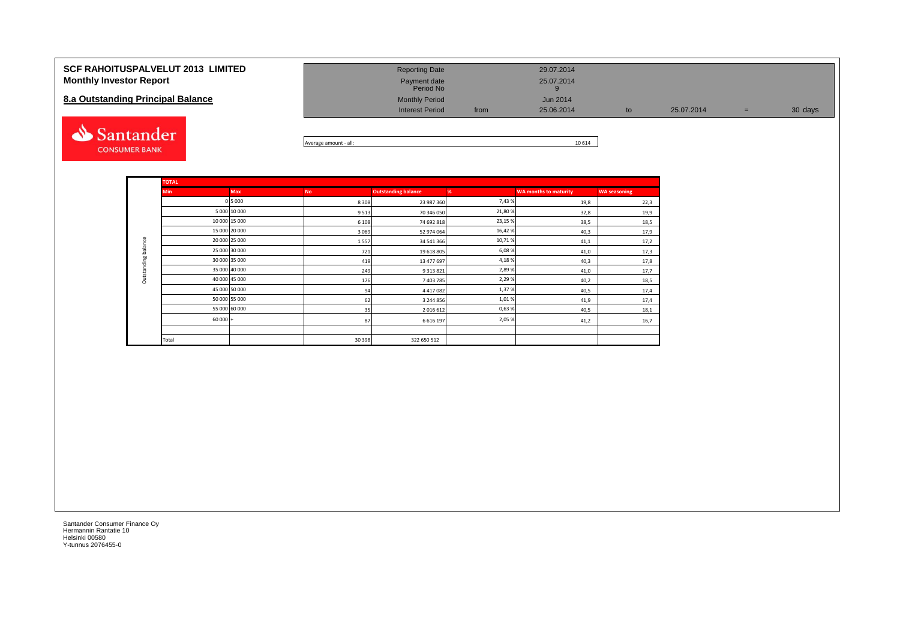| <b>SCF RAHOITUSPALVELUT 2013 LIMITED</b><br><b>Monthly Investor Report</b><br>8.a Outstanding Principal Balance | <b>Reporting Date</b><br>Payment date<br>Period No<br><b>Monthly Period</b><br><b>Interest Period</b> | from | 29.07.2014<br>25.07.2014<br>Jun 2014<br>25.06.2014                         | to | 25.07.2014 | $=$ | 30 days |
|-----------------------------------------------------------------------------------------------------------------|-------------------------------------------------------------------------------------------------------|------|----------------------------------------------------------------------------|----|------------|-----|---------|
| <b>Santander</b>                                                                                                |                                                                                                       |      | $\overline{a}$ $\overline{a}$ $\overline{a}$ $\overline{a}$ $\overline{a}$ |    |            |     |         |



|             | <b>TOTAL</b>  |               |           |                            |        |                              |                     |
|-------------|---------------|---------------|-----------|----------------------------|--------|------------------------------|---------------------|
|             | <b>Min</b>    | <b>Max</b>    | <b>No</b> | <b>Outstanding balance</b> | %      | <b>WA months to maturity</b> | <b>WA seasoning</b> |
|             |               | 0 5 0 0 0     | 8 3 0 8   | 23 987 360                 | 7,43%  | 19,8                         | 22,3                |
|             |               | 5 000 10 000  | 9513      | 70 346 050                 | 21,80% | 32,8                         | 19,9                |
|             | 10 000 15 000 |               | 6 1 0 8   | 74 692 818                 | 23,15% | 38,5                         | 18,5                |
|             |               | 15 000 20 000 | 3 0 6 9   | 52 974 064                 | 16,42% | 40,3                         | 17,9                |
| balance     |               | 20 000 25 000 | 1557      | 34 541 366                 | 10,71% | 41,1                         | 17,2                |
|             |               | 25 000 30 000 | 721       | 19 618 805                 | 6,08%  | 41,0                         | 17,3                |
| Outstanding |               | 30 000 35 000 | 419       | 13 477 697                 | 4,18%  | 40,3                         | 17,8                |
|             |               | 35 000 40 000 | 249       | 9 3 1 3 8 2 1              | 2,89%  | 41,0                         | 17,7                |
|             |               | 40 000 45 000 | 176       | 7403785                    | 2,29%  | 40,2                         | 18,5                |
|             |               | 45 000 50 000 | 94        | 4417082                    | 1,37%  | 40,5                         | 17,4                |
|             |               | 50 000 55 000 | 62        | 3 244 856                  | 1,01%  | 41,9                         | 17,4                |
|             |               | 55 000 60 000 | 35        | 2016612                    | 0,63%  | 40,5                         | 18,1                |
|             | $60000 +$     |               | 87        | 6 6 1 6 1 9 7              | 2,05%  | 41,2                         | 16,7                |
|             |               |               |           |                            |        |                              |                     |
|             | Total         |               | 30 398    | 322 650 512                |        |                              |                     |

**CONSUMER BANK**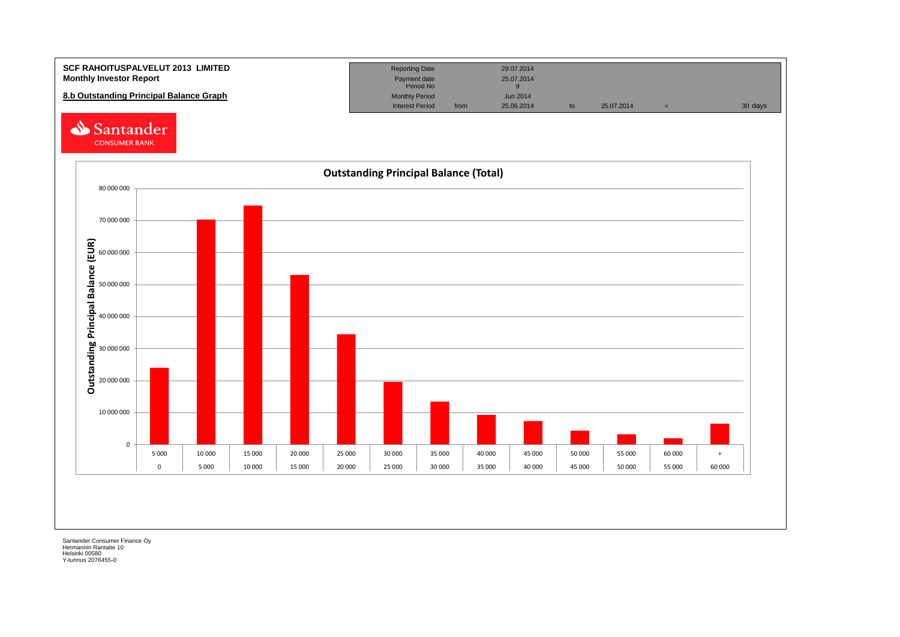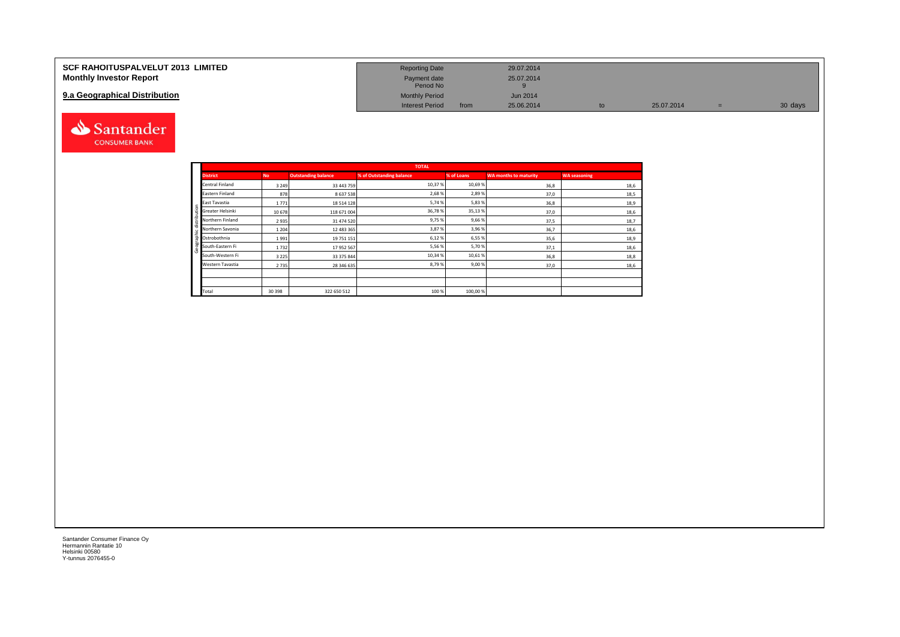| <b>SCF RAHOITUSPALVELUT 2013 LIMITED</b> | <b>Reporting Date</b>     |      | 29.07.2014      |    |            |         |
|------------------------------------------|---------------------------|------|-----------------|----|------------|---------|
| <b>Monthly Investor Report</b>           | Payment date<br>Period No |      | 25.07.2014      |    |            |         |
| 9.a Geographical Distribution            | <b>Monthly Period</b>     |      | <b>Jun 2014</b> |    |            |         |
|                                          | <b>Interest Period</b>    | from | 25.06.2014      | to | 25.07.2014 | 30 days |



Geographic distribution

phic distribution

andei

|                        |           |                            | <b>TOTAL</b>             |            |                              |                     |
|------------------------|-----------|----------------------------|--------------------------|------------|------------------------------|---------------------|
| <b>District</b>        | <b>No</b> | <b>Outstanding balance</b> | % of Outstanding balance | % of Loans | <b>WA months to maturity</b> | <b>WA seasoning</b> |
| <b>Central Finland</b> | 3 2 4 9   | 33 443 759                 | 10,37%                   | 10,69%     | 36,8                         | 18,6                |
| Eastern Finland        | 878       | 8 637 538                  | 2,68%                    | 2,89%      | 37,0                         | 18,5                |
| East Tavastia          | 1771      | 18 514 128                 | 5,74%                    | 5,83%      | 36,8                         | 18,9                |
| Greater Helsinki       | 10678     | 118 671 004                | 36,78%                   | 35,13%     | 37,0                         | 18,6                |
| Northern Finland       | 2935      | 31 474 520                 | 9,75%                    | 9,66%      | 37,5                         | 18,7                |
| Northern Savonia       | 1 2 0 4   | 12 483 365                 | 3,87%                    | 3,96%      | 36,7                         | 18,6                |
| Ostrobothnia           | 1991      | 19 751 151                 | 6,12%                    | 6,55%      | 35,6                         | 18,9                |
| South-Eastern Fi       | 1732      | 17 952 567                 | 5,56%                    | 5,70%      | 37,1                         | 18,6                |
| South-Western Fi       | 3 2 2 5   | 33 375 844                 | 10,34 %                  | 10,61%     | 36,8                         | 18,8                |
| Western Tavastia       | 2735      | 28 346 635                 | 8,79%                    | 9,00%      | 37,0                         | 18,6                |
|                        |           |                            |                          |            |                              |                     |
|                        |           |                            |                          |            |                              |                     |
| Total                  | 30 398    | 322 650 512                | 100 %                    | 100,00%    |                              |                     |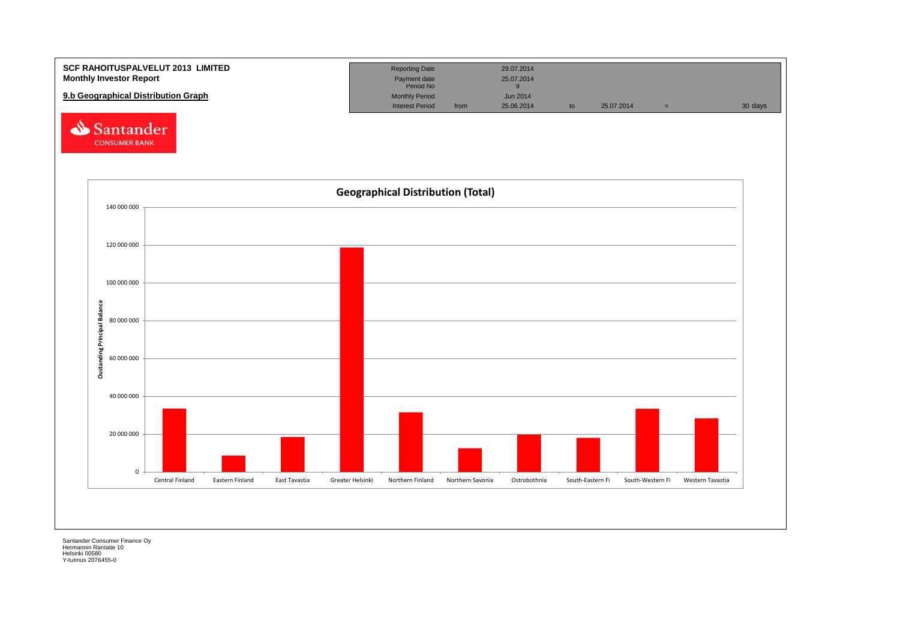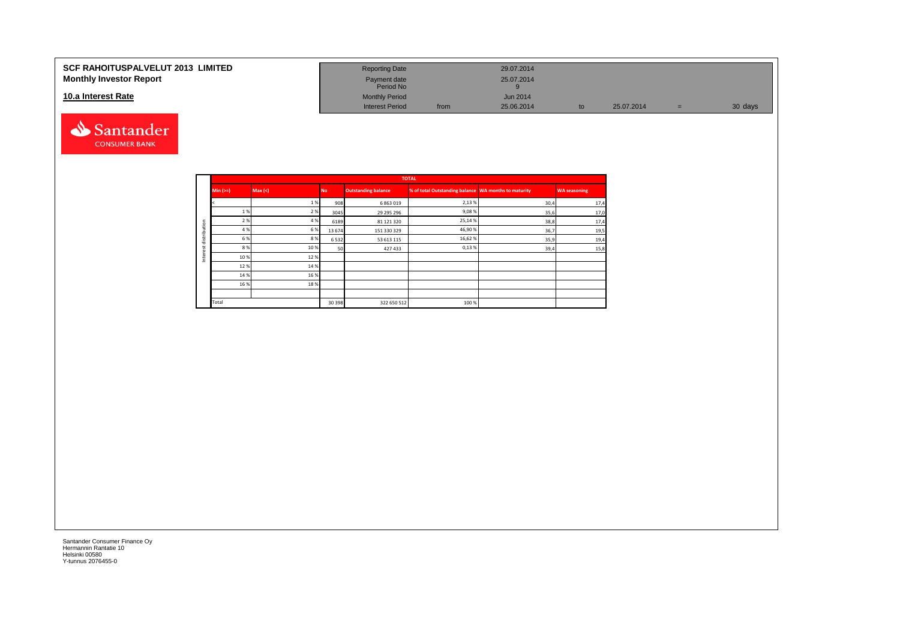#### **SCF RAHOITUSPALVELUT 2013 LIMITED Monthly Investor Report**

### **10.a Interest Rate**



| <b>Reporting Date</b>     |      | 29.07.2014      |    |            |     |         |
|---------------------------|------|-----------------|----|------------|-----|---------|
| Payment date<br>Period No |      | 25.07.2014<br>9 |    |            |     |         |
| <b>Monthly Period</b>     |      | <b>Jun 2014</b> |    |            |     |         |
| <b>Interest Period</b>    | from | 25.06.2014      | to | 25.07.2014 | $=$ | 30 days |

|            |          |         |           |                            | <b>TOTAL</b>                                         |      |                     |
|------------|----------|---------|-----------|----------------------------|------------------------------------------------------|------|---------------------|
|            | $Min (=$ | Max (<) | <b>No</b> | <b>Outstanding balance</b> | % of total Outstanding balance WA months to maturity |      | <b>WA seasoning</b> |
|            |          | 1%      | 908       | 6 863 019                  | 2,13%                                                | 30,4 | 17,4                |
|            | 1 %      | 2 %     | 3045      | 29 295 296                 | 9,08%                                                | 35,6 | 17,0                |
| ution      | 2 %      | 4 %     | 6189      | 81 121 320                 | 25,14 %                                              | 38,8 | 17,4                |
|            | 4 %      | 6 %     | 13674     | 151 330 329                | 46,90%                                               | 36,7 | 19,5                |
| strib<br>岩 | 6 %      | 8%      | 6532      | 53 613 115                 | 16,62%                                               | 35,9 | 19,4                |
| α          | 8 %      | 10%     | 50        | 427433                     | 0,13%                                                | 39,4 | 15,8                |
| ğ<br>Ξ     | 10%      | 12%     |           |                            |                                                      |      |                     |
|            | 12%      | 14 %    |           |                            |                                                      |      |                     |
|            | 14 %     | 16 %    |           |                            |                                                      |      |                     |
|            | 16 %     | 18%     |           |                            |                                                      |      |                     |
|            |          |         |           |                            |                                                      |      |                     |
|            | Total    |         | 30 398    | 322 650 512                | 100 %                                                |      |                     |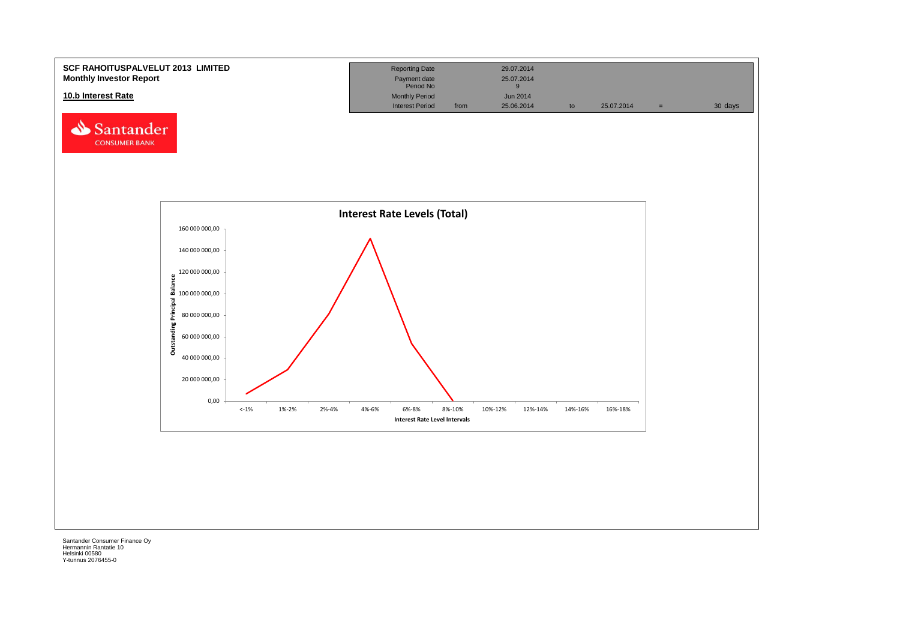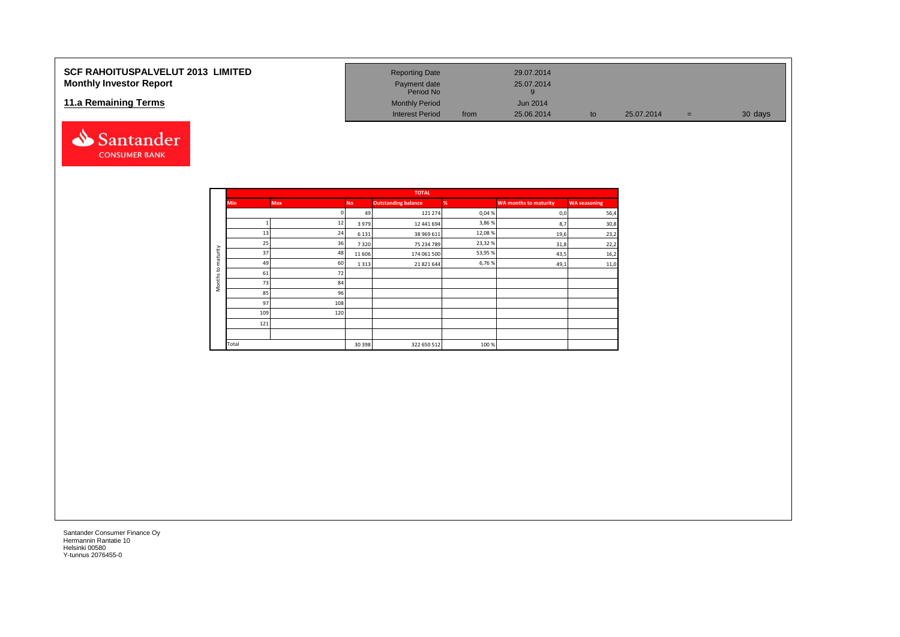### **SCF RAHOITUSPALVELUT 2013 LIMITED Monthly Investor Report**

### **11.a Remaining Terms**



| <b>Reporting Date</b>     |      | 29.07.2014      |    |            |   |         |
|---------------------------|------|-----------------|----|------------|---|---------|
| Payment date<br>Period No |      | 25.07.2014<br>9 |    |            |   |         |
| <b>Monthly Period</b>     |      | Jun 2014        |    |            |   |         |
| Interest Period           | from | 25.06.2014      | to | 25.07.2014 | = | 30 days |

|                     |            |     |           | <b>TOTAL</b>               |        |                              |                     |
|---------------------|------------|-----|-----------|----------------------------|--------|------------------------------|---------------------|
|                     | <b>Min</b> | Max | <b>No</b> | <b>Outstanding balance</b> | %      | <b>WA months to maturity</b> | <b>WA seasoning</b> |
|                     |            |     | 49        | 121 274                    | 0,04%  | 0,0                          | 56,4                |
|                     |            | 12  | 3979      | 12 441 694                 | 3,86%  | 8,7                          | 30,8                |
|                     | 13         | 24  | 6 1 3 1   | 38 969 611                 | 12,08% | 19,6                         | 23,2                |
|                     | 25         | 36  | 7320      | 75 234 789                 | 23,32% | 31,8                         | 22,2                |
| maturity            | 37         | 48  | 11 60 6   | 174 061 500                | 53,95% | 43,5                         | 16,2                |
| 5                   | 49         | 60  | 1 3 1 3   | 21 821 644                 | 6,76%  | 49,1                         | 11,0                |
|                     | 61         | 72  |           |                            |        |                              |                     |
| Months <sub>1</sub> | 73         | 84  |           |                            |        |                              |                     |
|                     | 85         | 96  |           |                            |        |                              |                     |
|                     | 97         | 108 |           |                            |        |                              |                     |
|                     | 109        | 120 |           |                            |        |                              |                     |
|                     | 121        |     |           |                            |        |                              |                     |
|                     |            |     |           |                            |        |                              |                     |
|                     | Total      |     | 30 398    | 322 650 512                | 100 %  |                              |                     |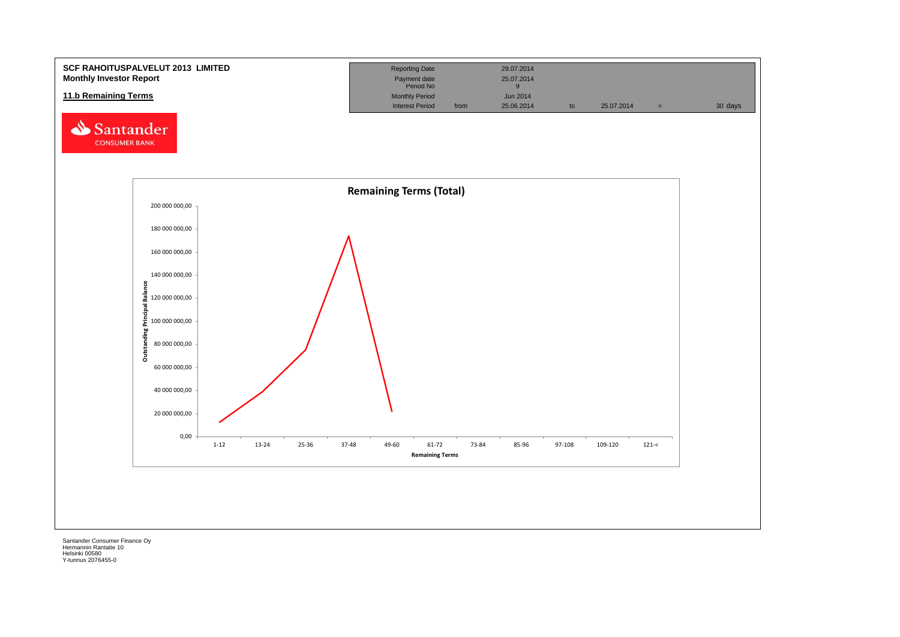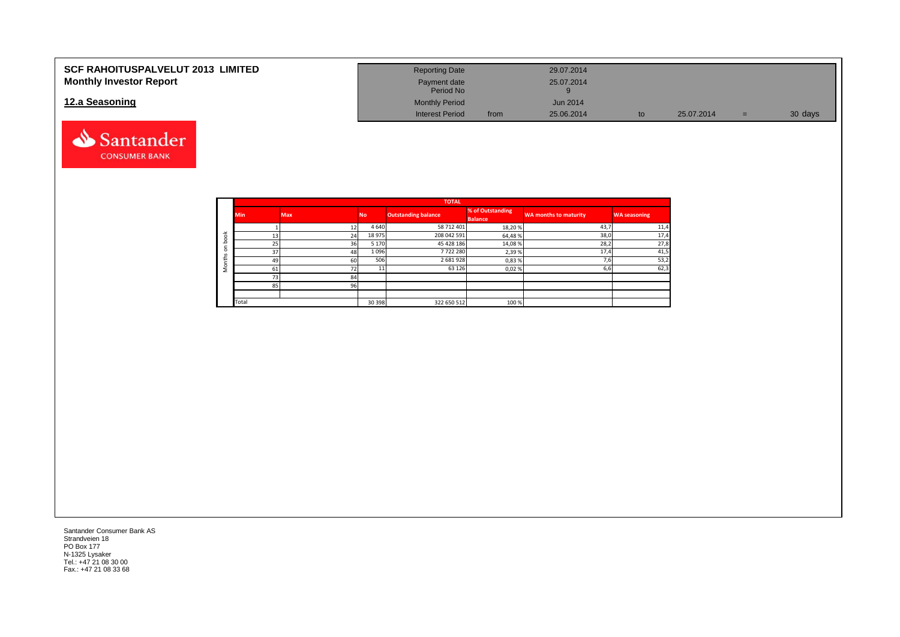| <b>SCF RAHOITUSPALVELUT 2013 LIMITED</b> | <b>Reporting Date</b>     |      | 29.07.2014 |    |            |   |         |
|------------------------------------------|---------------------------|------|------------|----|------------|---|---------|
| <b>Monthly Investor Report</b>           | Payment date<br>Period No |      | 25.07.2014 |    |            |   |         |
| 12.a Seasoning                           | <b>Monthly Period</b>     |      | Jun 2014   |    |            |   |         |
|                                          | <b>Interest Period</b>    | from | 25.06.2014 | to | 25.07.2014 | = | 30 days |



|                       |            |            |           | <b>TOTAL</b>               |                                    |                              |                     |
|-----------------------|------------|------------|-----------|----------------------------|------------------------------------|------------------------------|---------------------|
|                       | <b>Min</b> | <b>Max</b> | <b>No</b> | <b>Outstanding balance</b> | % of Outstanding<br><b>Balance</b> | <b>WA months to maturity</b> | <b>WA seasoning</b> |
|                       |            |            | 4 6 4 0   | 58 712 401                 | 18,20%                             | 43,7                         | 11,4                |
| $\breve{\phantom{a}}$ | 13         | 24         | 18 975    | 208 042 591                | 64,48%                             | 38,0                         | 17,4                |
| c                     | 25         | 36         | 5 1 7 0   | 45 428 186                 | 14,08%                             | 28,2                         | 27,8                |
| $\Omega$              | 37         | 48         | 1096      | 7722280                    | 2,39%                              | 17,4                         | 41,5                |
| £                     | 49         | 60         | 506       | 2 681 928                  | 0,83%                              | 7,6                          | 53,2                |
|                       | 61         | 72         |           | 63 1 26                    | 0,02%                              | 6,6                          | 62,3                |
|                       | 73         | 84         |           |                            |                                    |                              |                     |
|                       | 85         | 96         |           |                            |                                    |                              |                     |
|                       |            |            |           |                            |                                    |                              |                     |
|                       | Total      |            | 30 398    | 322 650 512                | 100 %                              |                              |                     |

Santander Consumer Bank AS Strandveien 18 PO Box 177 N-1325 Lysaker Tel.: +47 21 08 30 00 Fax.: +47 21 08 33 68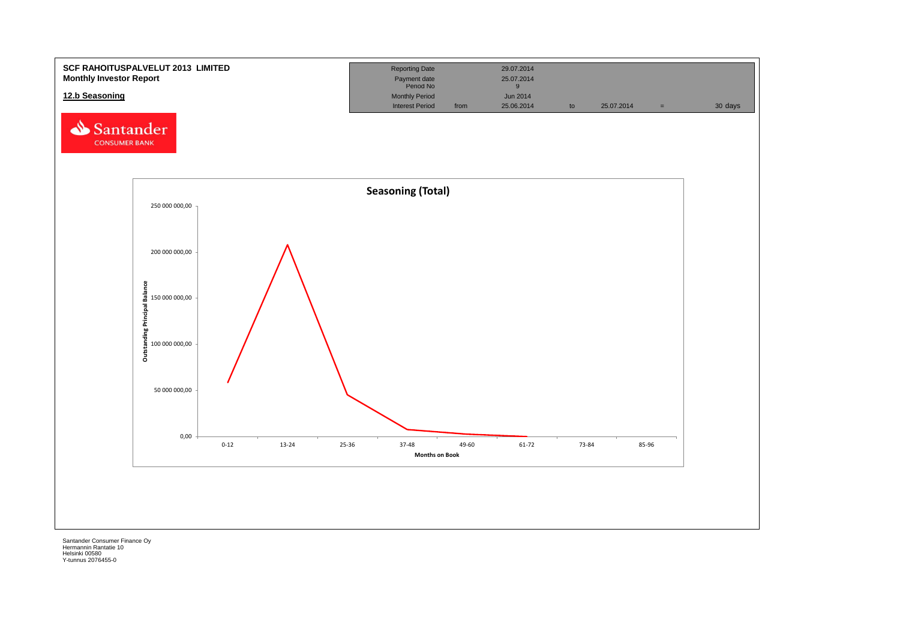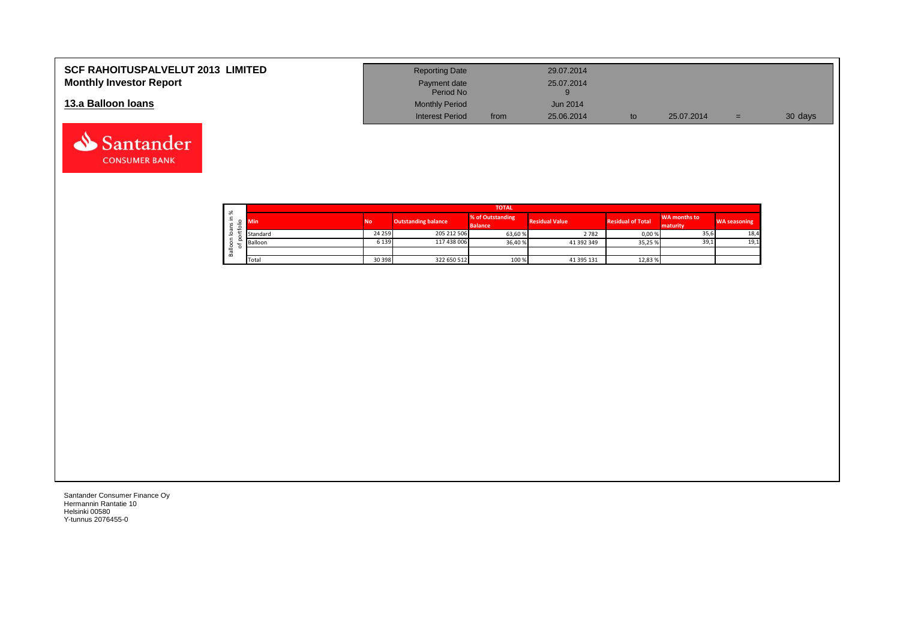| <b>SCF RAHOITUSPALVELUT 2013 LIMITED</b> | <b>Reporting Date</b>     |      | 29.07.2014 |            |     |         |
|------------------------------------------|---------------------------|------|------------|------------|-----|---------|
| <b>Monthly Investor Report</b>           | Payment date<br>Period No |      | 25.07.2014 |            |     |         |
| 13.a Balloon Ioans                       | <b>Monthly Period</b>     |      | Jun 2014   |            |     |         |
|                                          | <b>Interest Period</b>    | from | 25.06.2014 | 25.07.2014 | $=$ | 30 days |

|                        |                     | <b>TOTAL</b> |           |                            |                                    |                       |                          |                          |                     |  |  |  |  |  |  |
|------------------------|---------------------|--------------|-----------|----------------------------|------------------------------------|-----------------------|--------------------------|--------------------------|---------------------|--|--|--|--|--|--|
| ∸<br>$\mathbf{v}$<br>÷ | ৯ৎ                  | Min          | <b>No</b> | <b>Outstanding balance</b> | % of Outstanding<br><b>Balance</b> | <b>Residual Value</b> | <b>Residual of Total</b> | WA months to<br>maturity | <b>WA seasoning</b> |  |  |  |  |  |  |
|                        | $\sigma$<br>$\circ$ | Standard     | 24 259    | 205 212 506                | 63,60 %                            | 2782                  | 0,00%                    | 35,6                     | 18,4                |  |  |  |  |  |  |
|                        | ≗                   | Balloon      | 6 1 3 9   | 117 438 006                | 36,40 %                            | 41 392 349            | 35,25 %                  | 39,1                     | 19,1                |  |  |  |  |  |  |
|                        | ത<br>őñ             |              |           |                            |                                    |                       |                          |                          |                     |  |  |  |  |  |  |
|                        |                     | Total        | 30 398    | 322 650 512                | 100 %                              | 41 395 131            | 12,83 %                  |                          |                     |  |  |  |  |  |  |

┑

Santander Consumer Finance Oy Hermannin Rantatie 10 Helsinki 00580 Y-tunnus 2076455-0

Santander **CONSUMER BANK**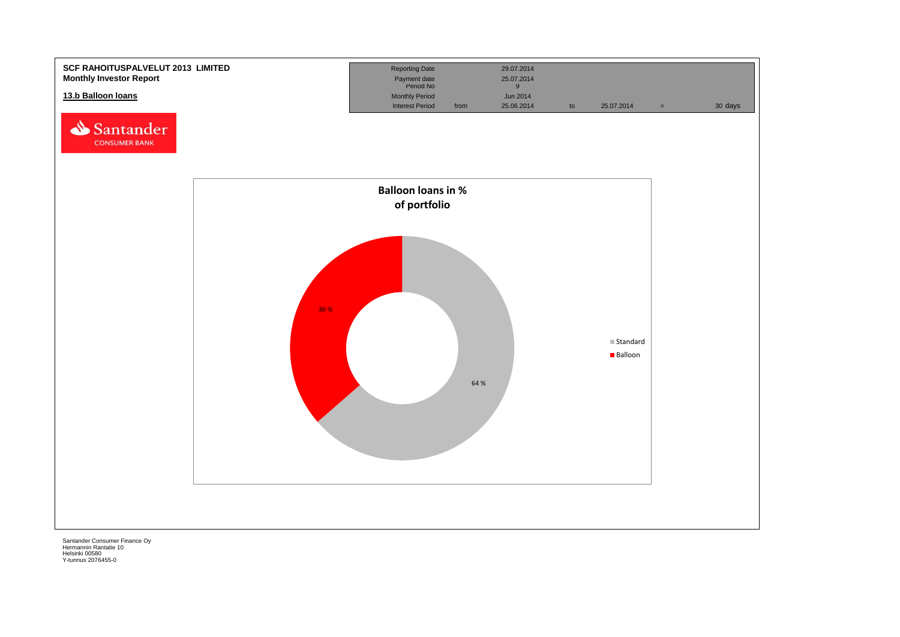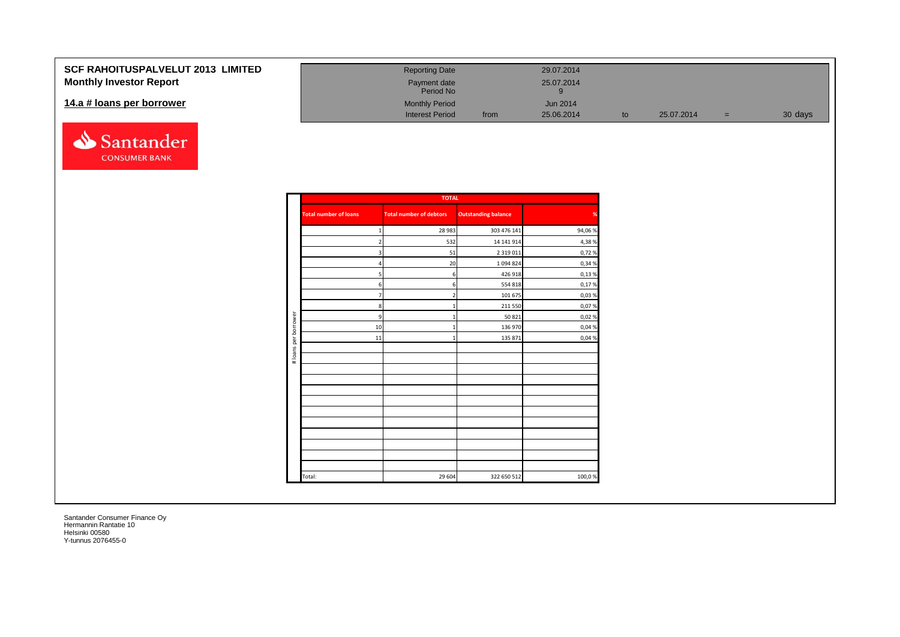| <b>SCF RAHOITUSPALVELUT 2013 LIMITED</b> | <b>Reporting Date</b>     |      | 29.07.2014 |    |            |   |         |
|------------------------------------------|---------------------------|------|------------|----|------------|---|---------|
| <b>Monthly Investor Report</b>           | Payment date<br>Period No |      | 25.07.2014 |    |            |   |         |
| 14.a # loans per borrower                | <b>Monthly Period</b>     |      | Jun 2014   |    |            |   |         |
|                                          | <b>Interest Period</b>    | from | 25.06.2014 | to | 25.07.2014 | = | 30 days |



|                      |                              | <b>TOTAL</b>                   |                            |        |
|----------------------|------------------------------|--------------------------------|----------------------------|--------|
|                      | <b>Total number of loans</b> | <b>Total number of debtors</b> | <b>Outstanding balance</b> | %      |
|                      | $\mathbf{1}$                 | 28 9 83                        | 303 476 141                | 94,06% |
|                      | $\overline{2}$               | 532                            | 14 141 914                 | 4,38%  |
|                      | 3                            | 51                             | 2 3 1 9 0 1 1              | 0,72%  |
|                      | $\overline{4}$               | 20                             | 1 0 9 4 8 2 4              | 0,34 % |
|                      | 5                            | 6                              | 426 918                    | 0,13%  |
|                      | 6                            | 6                              | 554 818                    | 0,17%  |
|                      | $\overline{7}$               | $\overline{2}$                 | 101 675                    | 0,03%  |
|                      | $\bf8$                       | $\mathbf{1}$                   | 211 550                    | 0,07%  |
|                      | $\overline{9}$               | $\mathbf{1}$                   | 50 821                     | 0,02%  |
|                      | 10                           | $\overline{1}$                 | 136 970                    | 0,04 % |
| # loans per borrower | 11                           | $\mathbf{1}$                   | 135 871                    | 0,04 % |
|                      |                              |                                |                            |        |
|                      |                              |                                |                            |        |
|                      |                              |                                |                            |        |
|                      |                              |                                |                            |        |
|                      |                              |                                |                            |        |
|                      |                              |                                |                            |        |
|                      |                              |                                |                            |        |
|                      |                              |                                |                            |        |
|                      |                              |                                |                            |        |
|                      |                              |                                |                            |        |
|                      |                              |                                |                            |        |
|                      |                              |                                |                            |        |
|                      | Total:                       | 29 604                         | 322 650 512                | 100,0% |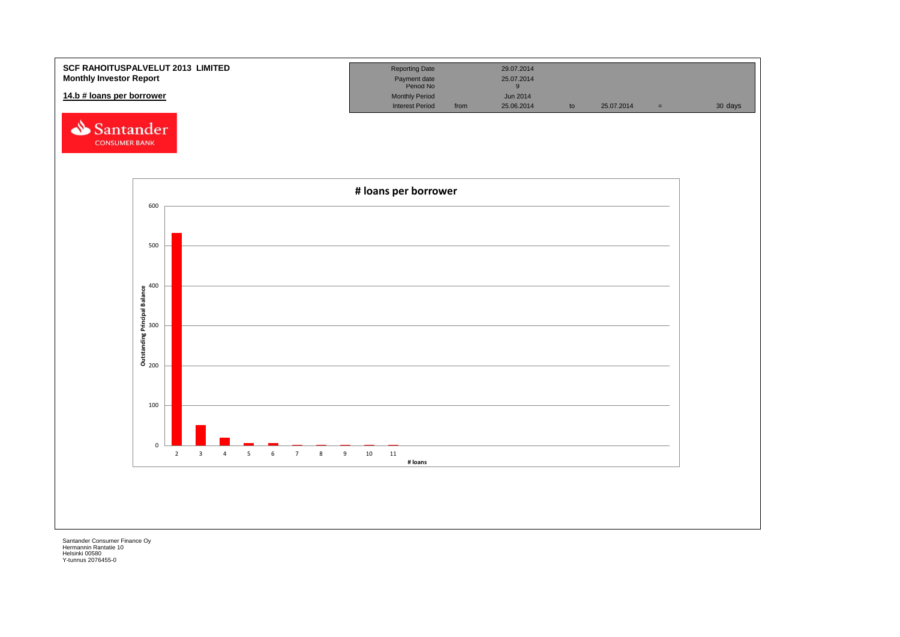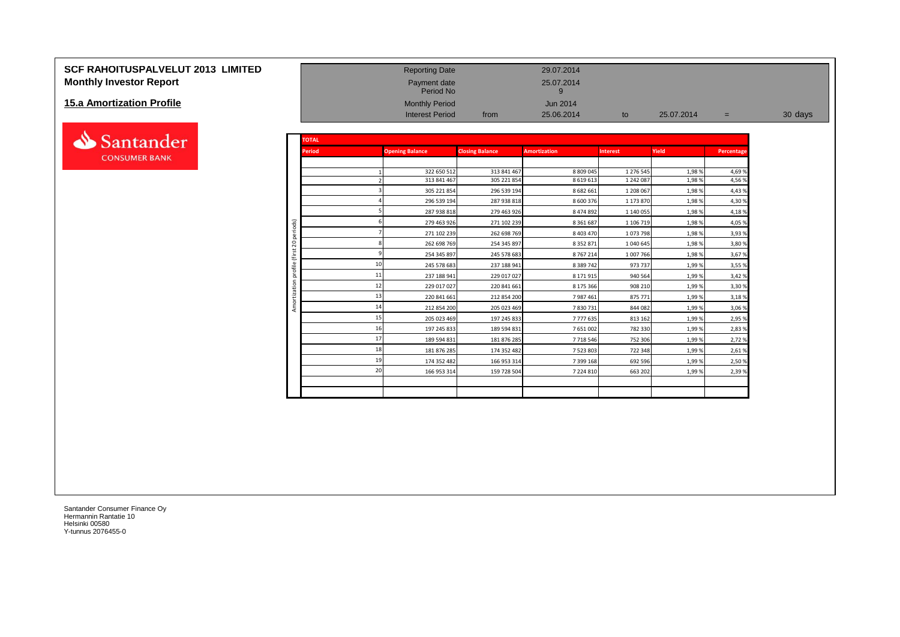# **SCF RAHOITUSPALVELUT 2013 LIMITED**<br> **Monthly Investor Report** 2013 **LIMITED**<br>
Payment date Payment date 25.07.2014<br>
Period No Period No Period No Period No **Monthly Investor Report**

#### **15.a Amortization Profile**



| <b>15.a Amortization Profile</b> |                         |               | <b>Monthly Period</b><br><b>Interest Period</b> | from                       | <b>Jun 2014</b><br>25.06.2014 | to                     | 25.07.2014     | $=$              | 30 days |
|----------------------------------|-------------------------|---------------|-------------------------------------------------|----------------------------|-------------------------------|------------------------|----------------|------------------|---------|
| Santander                        |                         | <b>TOTAL</b>  |                                                 |                            |                               |                        |                |                  |         |
| <b>CONSUMER BANK</b>             |                         | <b>Period</b> | <b>Opening Balance</b>                          | <b>Closing Balance</b>     | <b>Amortization</b>           | <b>Interest</b>        | Yield          | Percentage       |         |
|                                  |                         |               | 322 650 512<br>313 841 467                      | 313 841 467<br>305 221 854 | 8 809 045<br>8 6 1 9 6 1 3    | 1 276 545<br>1 242 087 | 1,98%<br>1,98% | 4,69 %<br>4,56 % |         |
|                                  |                         |               | 305 221 854                                     | 296 539 194                | 8 682 661                     | 1 208 067              | 1,98%          | 4,43%            |         |
|                                  |                         |               | 296 539 194                                     | 287 938 818                | 8 600 376                     | 1 173 870              | 1,98%          | 4,30%            |         |
|                                  |                         |               | 287 938 818                                     | 279 463 926                | 8 474 892                     | 1 140 055              | 1,98%          | 4,18%            |         |
|                                  | ods)                    |               | 279 463 926                                     | 271 102 239                | 8 3 6 1 6 8 7                 | 1 106 719              | 1,98%          | 4,05 %           |         |
|                                  | å                       |               | 271 102 239                                     | 262 698 769                | 8 4 0 3 4 7 0                 | 1073798                | 1,98%          | 3,93%            |         |
|                                  | $\circ$<br>$\bar{\sim}$ |               | 262 698 769                                     | 254 345 897                | 8 3 5 2 8 7 1                 | 1 040 645              | 1,98%          | 3,80%            |         |
|                                  | €                       |               | 254 345 897                                     | 245 578 683                | 8767214                       | 1 007 766              | 1,98%          | 3,67 %           |         |
|                                  | ᅙ                       |               | 245 578 683                                     | 237 188 941                | 8 3 8 7 4 2                   | 973 737                | 1,99%          | 3,55 %           |         |
|                                  | ā                       |               | 11<br>237 188 941                               | 229 017 027                | 8 171 915                     | 940 564                | 1,99%          | 3,42 %           |         |
|                                  |                         |               | 12<br>229 017 027                               | 220 841 661                | 8 175 366                     | 908 210                | 1,99%          | 3,30 %           |         |
|                                  |                         |               | 220 841 661                                     | 212 854 200                | 7987461                       | 875 771                | 1,99%          | 3,18%            |         |
|                                  |                         |               | 14<br>212 854 200                               | 205 023 469                | 7830731                       | 844 082                | 1,99%          | 3,06 %           |         |
|                                  |                         |               | 15<br>205 023 469                               | 197 245 833                | 7777635                       | 813 162                | 1,99%          | 2,95 %           |         |
|                                  |                         |               | 16<br>197 245 833                               | 189 594 831                | 7 651 002                     | 782 330                | 1,99%          | 2,83 %           |         |
|                                  |                         |               | 17<br>189 594 831                               | 181 876 285                | 7718546                       | 752 306                | 1,99%          | 2,72 %           |         |
|                                  |                         |               | 18<br>181 876 285                               | 174 352 482                | 7 5 2 3 8 0 3                 | 722 348                | 1,99%          | 2,61%            |         |
|                                  |                         |               | 1 <sup>c</sup><br>174 352 482                   | 166 953 314                | 7 399 168                     | 692 596                | 1,99%          | 2,50 %           |         |
|                                  |                         |               | 20<br>166 953 314                               | 159 728 504                | 7 224 810                     | 663 202                | 1,99%          | 2,39 %           |         |
|                                  |                         |               |                                                 |                            |                               |                        |                |                  |         |

Payment date<br>Period No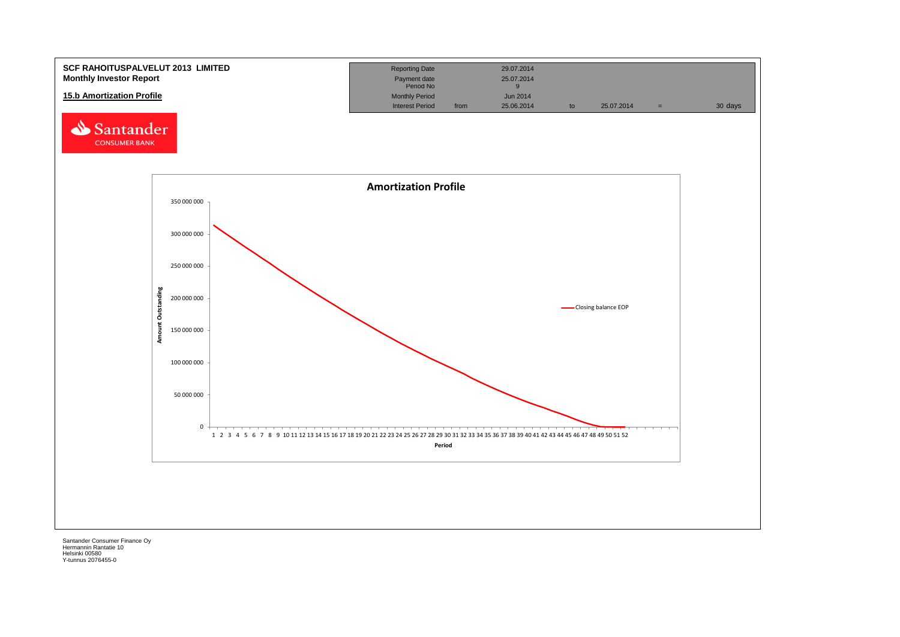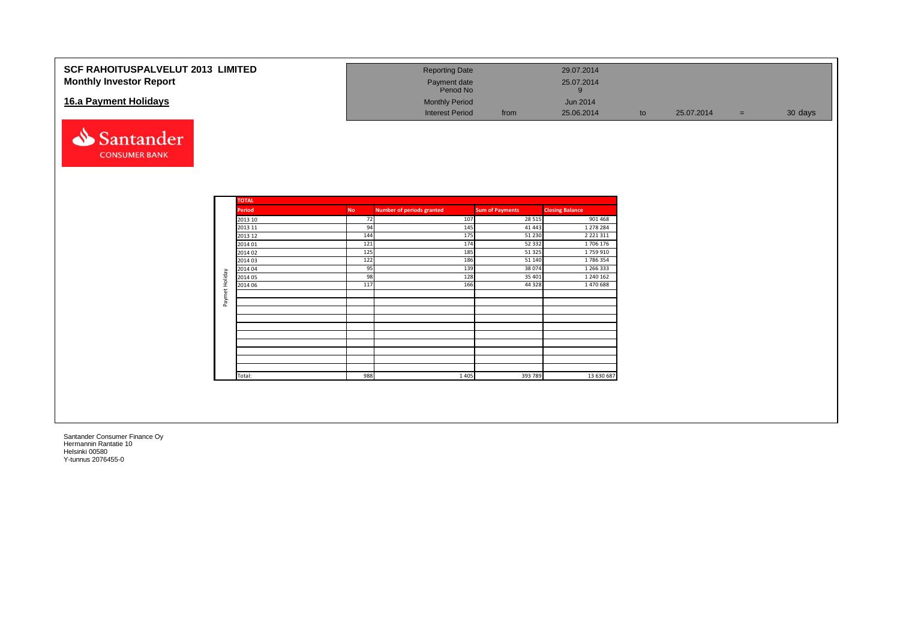| <b>SCF RAHOITUSPALVELUT 2013 LIMITED</b><br><b>Monthly Investor Report</b> | <b>Reporting Date</b><br>Payment date<br>Period No |      | 29.07.2014<br>25.07.2014 |    |            |     |         |
|----------------------------------------------------------------------------|----------------------------------------------------|------|--------------------------|----|------------|-----|---------|
| 16.a Payment Holidays                                                      | <b>Monthly Period</b>                              |      | <b>Jun 2014</b>          |    |            |     |         |
|                                                                            | <b>Interest Period</b>                             | from | 25.06.2014               | to | 25.07.2014 | $=$ | 30 days |



|                | <b>TOTAL</b>  |           |                                  |                        |                        |
|----------------|---------------|-----------|----------------------------------|------------------------|------------------------|
|                | <b>Period</b> | <b>No</b> | <b>Number of periods granted</b> | <b>Sum of Payments</b> | <b>Closing Balance</b> |
|                | 2013 10       | 72        | 107                              | 28 5 15                | 901 468                |
|                | 2013 11       | 94        | 145                              | 41 4 43                | 1 278 284              |
|                | 2013 12       | 144       | 175                              | 51 230                 | 2 2 2 1 3 1 1          |
|                | 2014 01       | 121       | 174                              | 52 332                 | 1706 176               |
|                | 2014 02       | 125       | 185                              | 51 325                 | 1759910                |
|                | 2014 03       | 122       | 186                              | 51 140                 | 1786354                |
|                | 2014 04       | 95        | 139                              | 38 0 74                | 1 266 333              |
|                | 2014 05       | 98        | 128                              | 35 401                 | 1 240 162              |
|                | 2014 06       | 117       | 166                              | 44 3 28                | 1 470 688              |
| Paymet Holiday |               |           |                                  |                        |                        |
|                |               |           |                                  |                        |                        |
|                |               |           |                                  |                        |                        |
|                |               |           |                                  |                        |                        |
|                |               |           |                                  |                        |                        |
|                |               |           |                                  |                        |                        |
|                |               |           |                                  |                        |                        |
|                |               |           |                                  |                        |                        |
|                |               |           |                                  |                        |                        |
|                |               |           |                                  |                        |                        |
|                | Total:        | 988       | 1 4 0 5                          | 393 789                | 13 630 687             |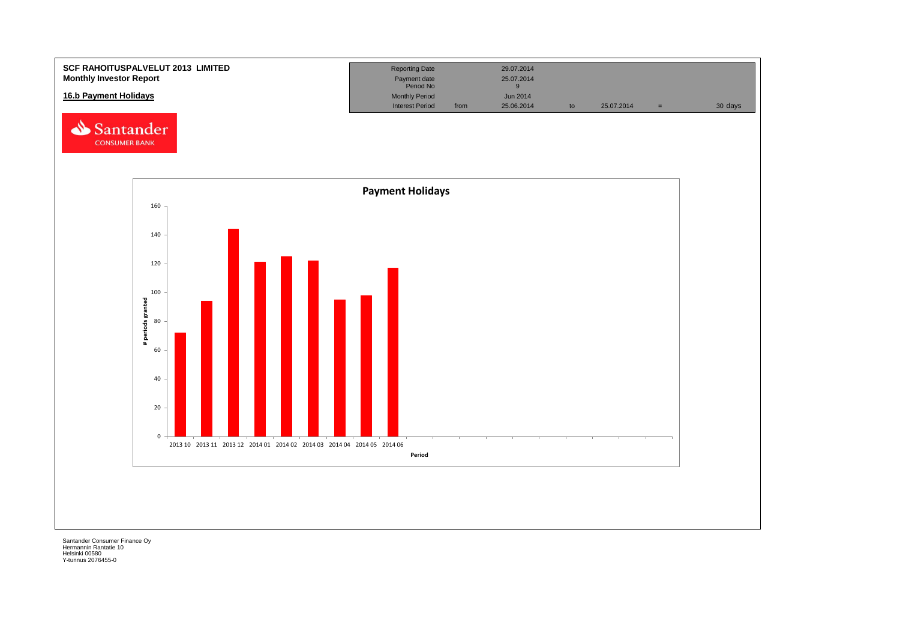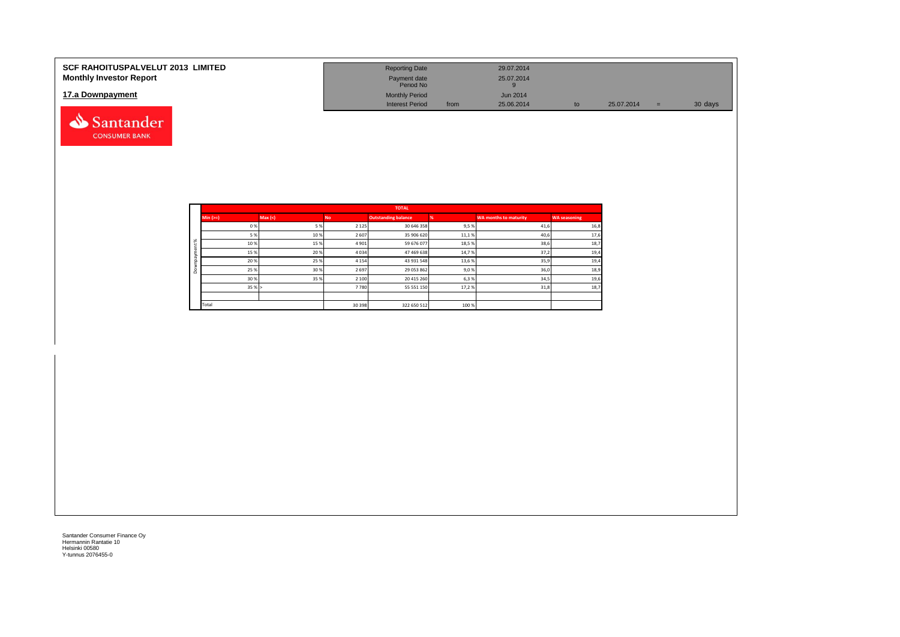| <b>SCF RAHOITUSPALVELUT 2013 LIMITED</b><br><b>Monthly Investor Report</b> | <b>Reporting Date</b><br>Payment date<br>Period No |      | 29.07.2014<br>25.07.2014 |            |         |
|----------------------------------------------------------------------------|----------------------------------------------------|------|--------------------------|------------|---------|
| 17.a Downpayment                                                           | <b>Monthly Period</b>                              |      | <b>Jun 2014</b>          |            |         |
|                                                                            | <b>Interest Period</b>                             | from | 25.06.2014               | 25.07.2014 | 30 days |

|          |            |        |           | <b>TOTAL</b>               |       |                              |                     |
|----------|------------|--------|-----------|----------------------------|-------|------------------------------|---------------------|
|          | $Min (==)$ | Max(<) | <b>No</b> | <b>Outstanding balance</b> |       | <b>WA months to maturity</b> | <b>WA seasoning</b> |
|          | 0%         | 5%     | 2 1 2 5   | 30 646 358                 | 9,5%  | 41,6                         | 16,8                |
|          | 5 %        | 10%    | 2 607     | 35 906 620                 | 11,1% | 40,6                         | 17,6                |
| $\aleph$ | 10%        | 15%    | 4 9 0 1   | 59 676 077                 | 18,5% | 38,6                         | 18,7                |
|          | 15 %       | 20%    | 4 0 3 4   | 47 469 638                 | 14,7% | 37,2                         | 19,4                |
|          | 20%        | 25%    | 4 1 5 4   | 43 931 548                 | 13,6% | 35,9                         | 19,4                |
| ۵        | 25 %       | 30%    | 2 6 9 7   | 29 053 862                 | 9,0%  | 36,0                         | 18,9                |
|          | 30%        | 35%    | 2 100     | 20 415 260                 | 6,3%  | 34,5                         | 19,6                |
|          | 35%        |        | 7780      | 55 551 150                 | 17,2% | 31,8                         | 18,7                |
|          |            |        |           |                            |       |                              |                     |
|          | Total      |        | 30 398    | 322 650 512                | 100 % |                              |                     |

Santander **CONSUMER BANK**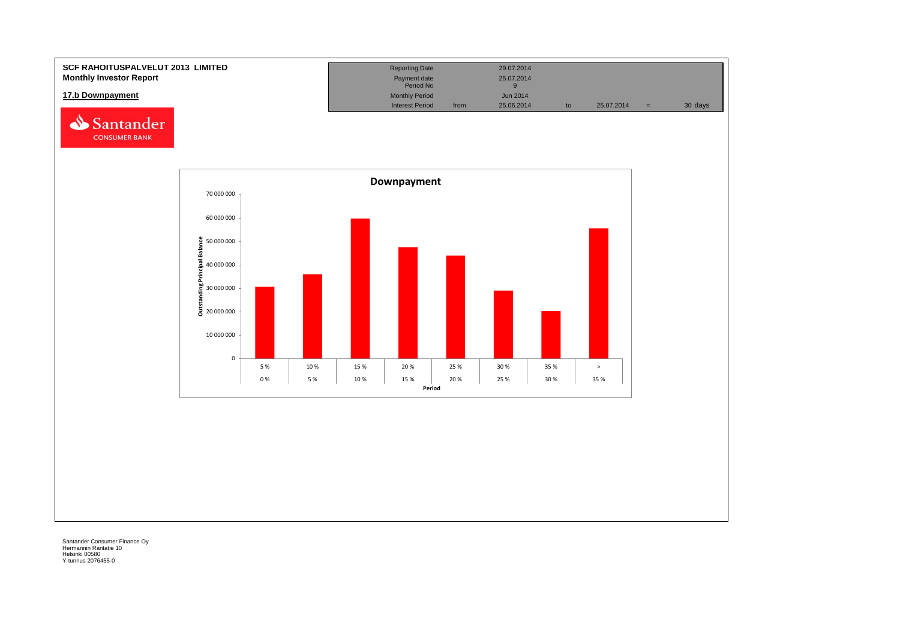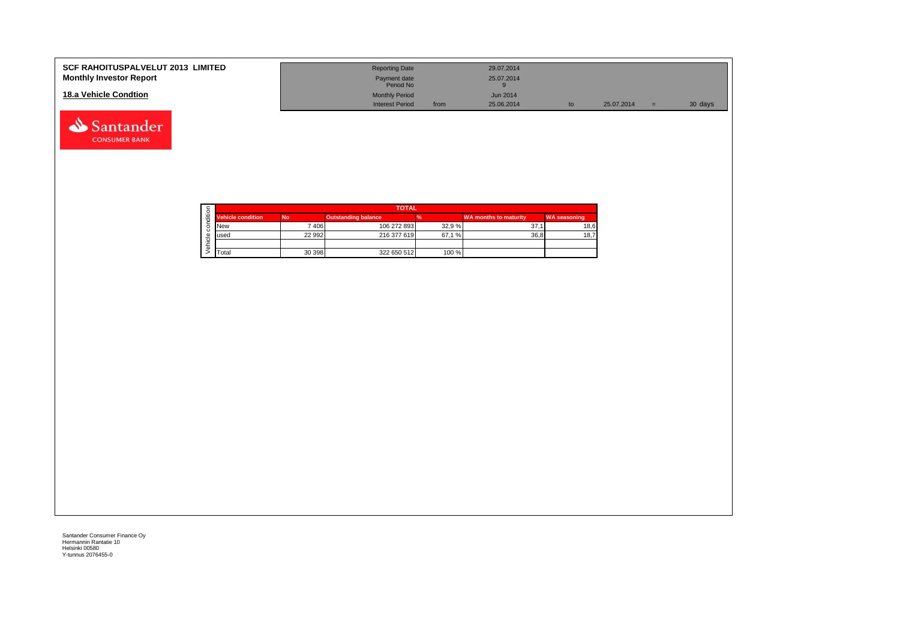| <b>SCF RAHOITUSPALVELUT 2013 LIMITED</b><br><b>Monthly Investor Report</b> | <b>Reporting Date</b><br>Payment date<br>Period No |      | 29.07.2014<br>25.07.2014 |    |            |     |         |
|----------------------------------------------------------------------------|----------------------------------------------------|------|--------------------------|----|------------|-----|---------|
| 18.a Vehicle Condtion                                                      | <b>Monthly Period</b><br><b>Interest Period</b>    | from | Jun 2014<br>25.06.2014   | to | 25.07.2014 | $=$ | 30 days |

|  |                          |           | <b>TOTAL</b>               |       |                              |                     |  |  |  |  |
|--|--------------------------|-----------|----------------------------|-------|------------------------------|---------------------|--|--|--|--|
|  | <b>Vehicle condition</b> | <b>No</b> | <b>Outstanding balance</b> |       | <b>WA months to maturity</b> | <b>WA seasoning</b> |  |  |  |  |
|  | <b>INew</b>              | 7406      | 106 272 893                | 32.9% | 37.                          | 18,6                |  |  |  |  |
|  | lused                    | 22 992    | 216 377 619                | 67.1% | 36.8                         | 18,7                |  |  |  |  |
|  |                          |           |                            |       |                              |                     |  |  |  |  |
|  | <b>T</b> otal            | 30 398    | 322 650 512                | 100 % |                              |                     |  |  |  |  |

Santander **CONSUMER BANK**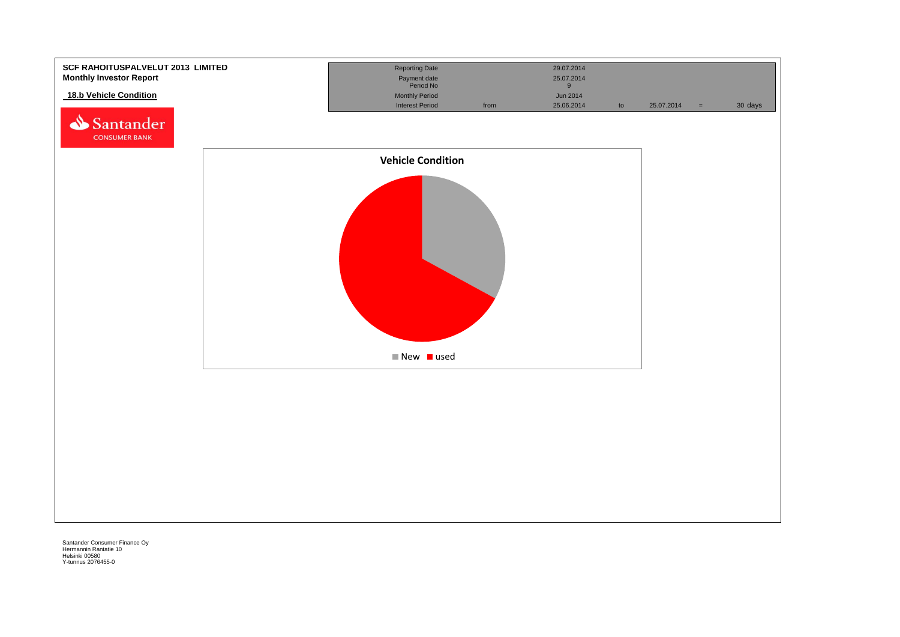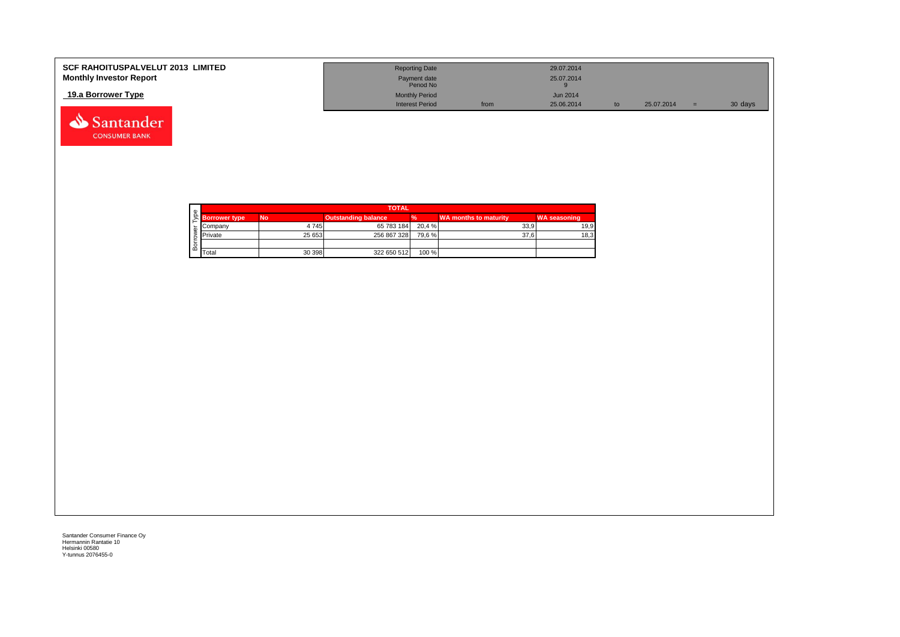| <b>SCF RAHOITUSPALVELUT 2013 LIMITED</b> | <b>Reporting Date</b>     |      | 29.07.2014      |    |            |         |
|------------------------------------------|---------------------------|------|-----------------|----|------------|---------|
| <b>Monthly Investor Report</b>           | Payment date<br>Period No |      | 25.07.2014      |    |            |         |
| 19.a Borrower Type                       | <b>Monthly Period</b>     |      | <b>Jun 2014</b> |    |            |         |
|                                          | <b>Interest Period</b>    | from | 25.06.2014      | to | 25.07.2014 | 30 days |



Santander **CONSUMER BANK**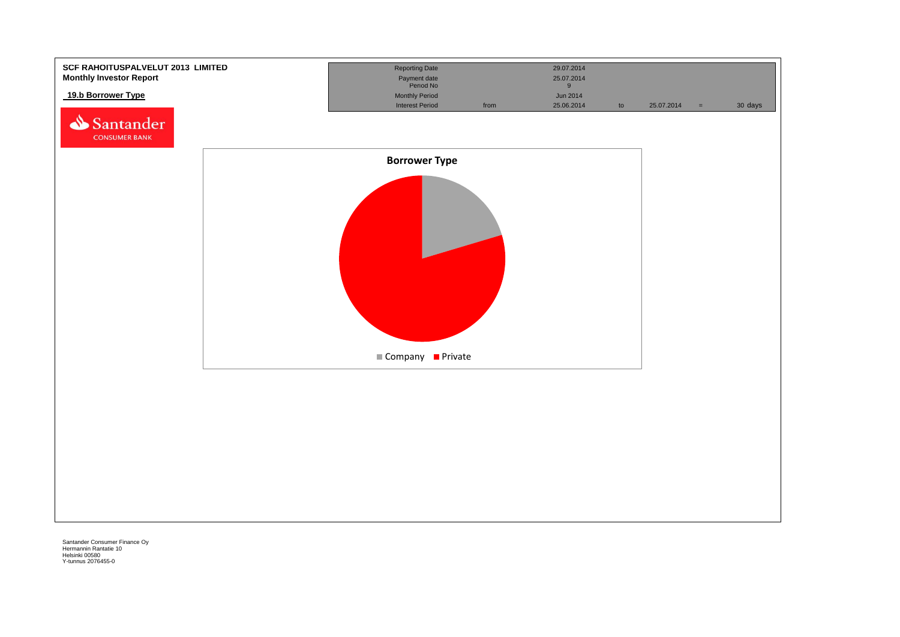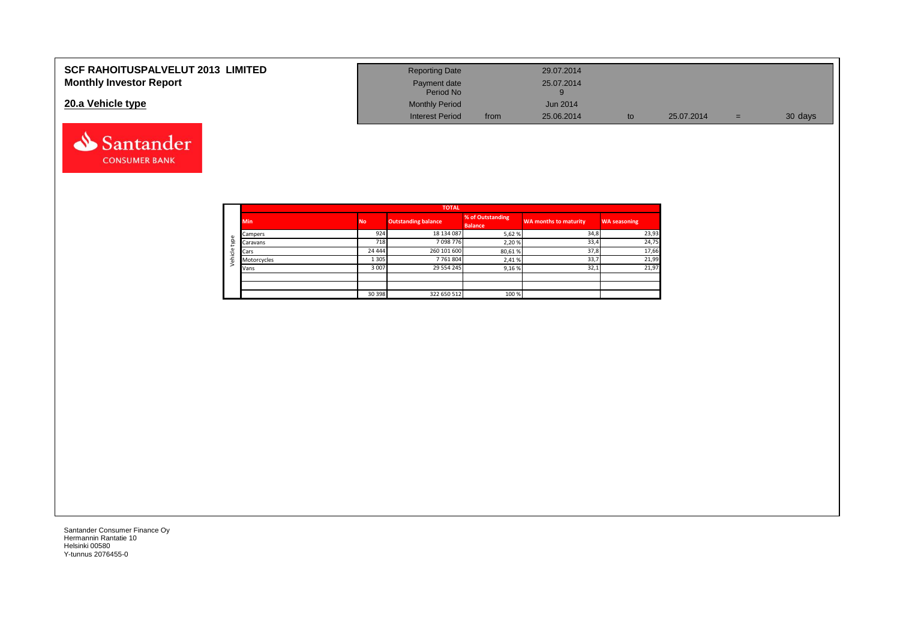| <b>SCF RAHOITUSPALVELUT 2013 LIMITED</b> | <b>Reporting Date</b>     |      | 29.07.2014      |    |            |     |         |
|------------------------------------------|---------------------------|------|-----------------|----|------------|-----|---------|
| <b>Monthly Investor Report</b>           | Payment date<br>Period No |      | 25.07.2014      |    |            |     |         |
| 20.a Vehicle type                        | <b>Monthly Period</b>     |      | <b>Jun 2014</b> |    |            |     |         |
|                                          | <b>Interest Period</b>    | from | 25.06.2014      | to | 25.07.2014 | $=$ | 30 days |



Santander **CONSUMER BANK**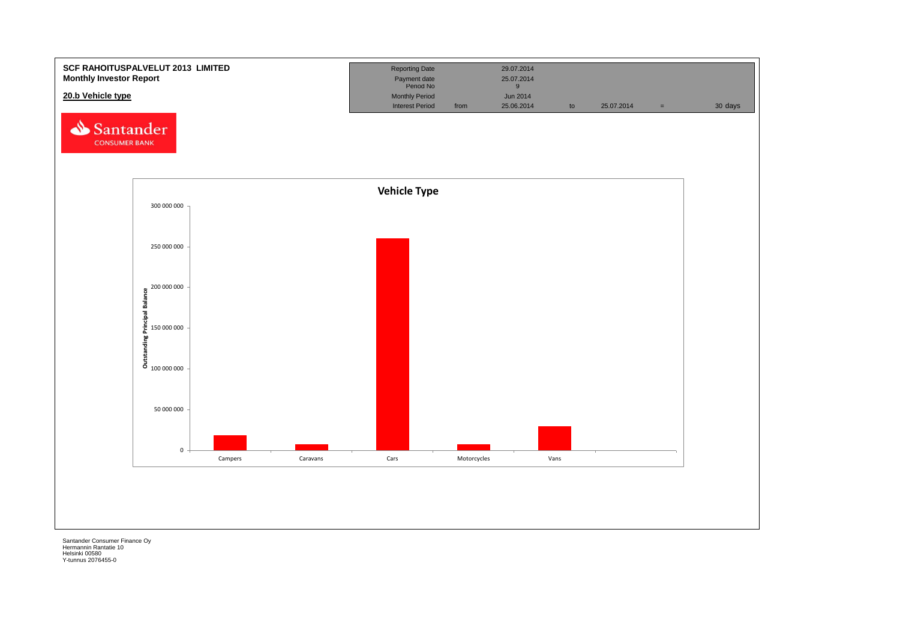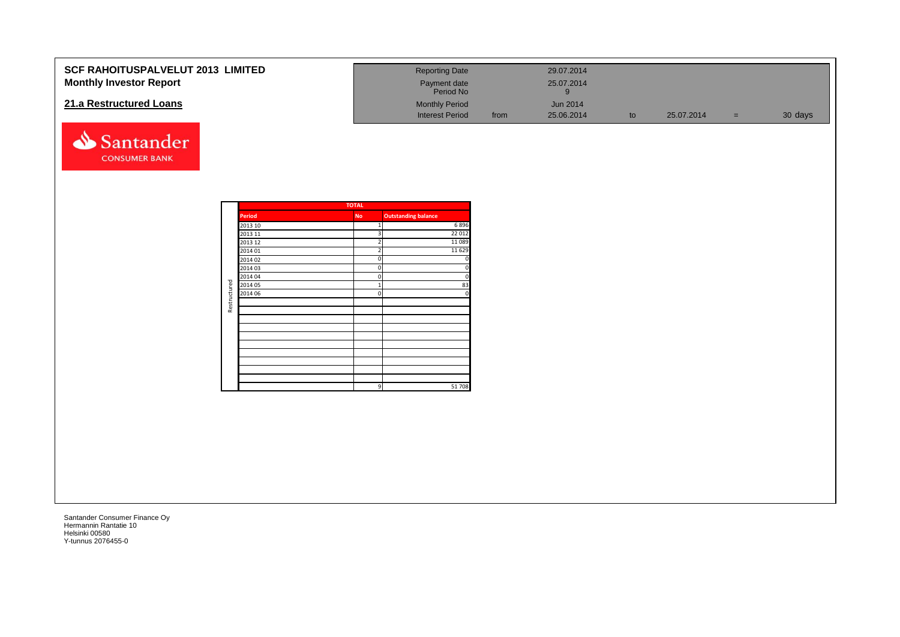| SCF RAHOITUSPALVELUT 2013 LIMITED<br><b>Monthly Investor Report</b> |              |                    |              | <b>Reporting Date</b><br>Payment date<br>Period No |      | 29.07.2014<br>25.07.2014<br>$9\,$ |    |            |       |         |
|---------------------------------------------------------------------|--------------|--------------------|--------------|----------------------------------------------------|------|-----------------------------------|----|------------|-------|---------|
| 21.a Restructured Loans                                             |              |                    |              | <b>Monthly Period</b><br><b>Interest Period</b>    | from | Jun 2014<br>25.06.2014            | to | 25.07.2014 | $=$ . | 30 days |
| Santander<br><b>CONSUMER BANK</b>                                   |              |                    |              |                                                    |      |                                   |    |            |       |         |
|                                                                     |              |                    | <b>TOTAL</b> |                                                    |      |                                   |    |            |       |         |
|                                                                     |              | <b>Period</b>      | <b>No</b>    | <b>Outstanding balance</b>                         |      |                                   |    |            |       |         |
|                                                                     |              | 2013 10            |              | 6896                                               |      |                                   |    |            |       |         |
|                                                                     |              | 2013 11            |              | 22 012                                             |      |                                   |    |            |       |         |
|                                                                     |              | 2013 12            |              | 11 0 89                                            |      |                                   |    |            |       |         |
|                                                                     |              | 2014 01            |              | 11 6 29                                            |      |                                   |    |            |       |         |
|                                                                     |              | 2014 02            |              |                                                    |      |                                   |    |            |       |         |
|                                                                     |              | 2014 03            |              |                                                    |      |                                   |    |            |       |         |
|                                                                     |              | 2014 04<br>2014 05 | $\Omega$     |                                                    |      |                                   |    |            |       |         |
|                                                                     |              | 2014 06            |              | 83                                                 |      |                                   |    |            |       |         |
|                                                                     |              |                    |              |                                                    |      |                                   |    |            |       |         |
|                                                                     | Restructured |                    |              |                                                    |      |                                   |    |            |       |         |
|                                                                     |              |                    |              |                                                    |      |                                   |    |            |       |         |
|                                                                     |              |                    |              |                                                    |      |                                   |    |            |       |         |
|                                                                     |              |                    |              |                                                    |      |                                   |    |            |       |         |
|                                                                     |              |                    |              |                                                    |      |                                   |    |            |       |         |
|                                                                     |              |                    |              |                                                    |      |                                   |    |            |       |         |
|                                                                     |              |                    |              |                                                    |      |                                   |    |            |       |         |
|                                                                     |              |                    |              |                                                    |      |                                   |    |            |       |         |
|                                                                     |              |                    |              |                                                    |      |                                   |    |            |       |         |
|                                                                     |              |                    |              | 51708<br>9                                         |      |                                   |    |            |       |         |
|                                                                     |              |                    |              |                                                    |      |                                   |    |            |       |         |
|                                                                     |              |                    |              |                                                    |      |                                   |    |            |       |         |
|                                                                     |              |                    |              |                                                    |      |                                   |    |            |       |         |
|                                                                     |              |                    |              |                                                    |      |                                   |    |            |       |         |
|                                                                     |              |                    |              |                                                    |      |                                   |    |            |       |         |
|                                                                     |              |                    |              |                                                    |      |                                   |    |            |       |         |
|                                                                     |              |                    |              |                                                    |      |                                   |    |            |       |         |
|                                                                     |              |                    |              |                                                    |      |                                   |    |            |       |         |
|                                                                     |              |                    |              |                                                    |      |                                   |    |            |       |         |
|                                                                     |              |                    |              |                                                    |      |                                   |    |            |       |         |
|                                                                     |              |                    |              |                                                    |      |                                   |    |            |       |         |
|                                                                     |              |                    |              |                                                    |      |                                   |    |            |       |         |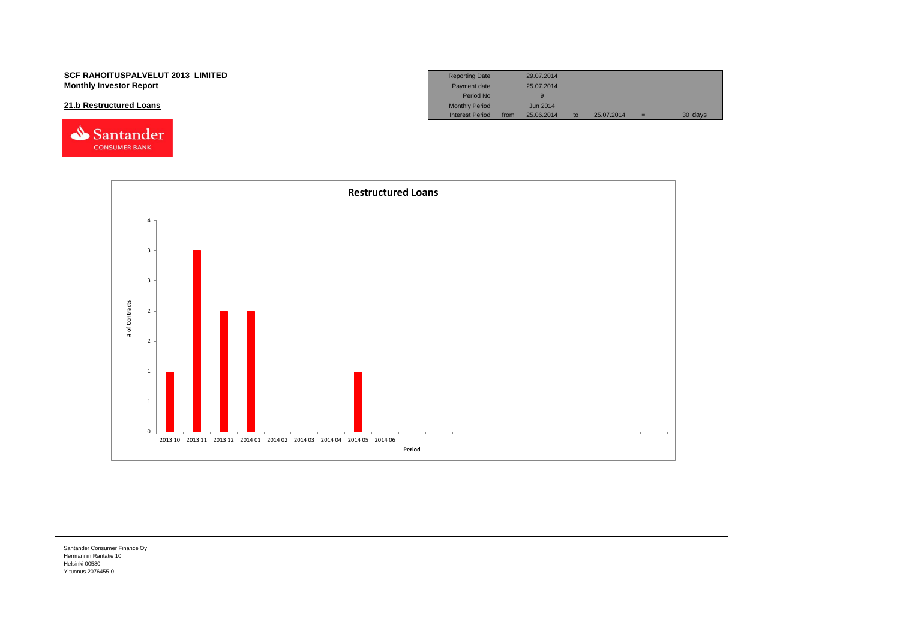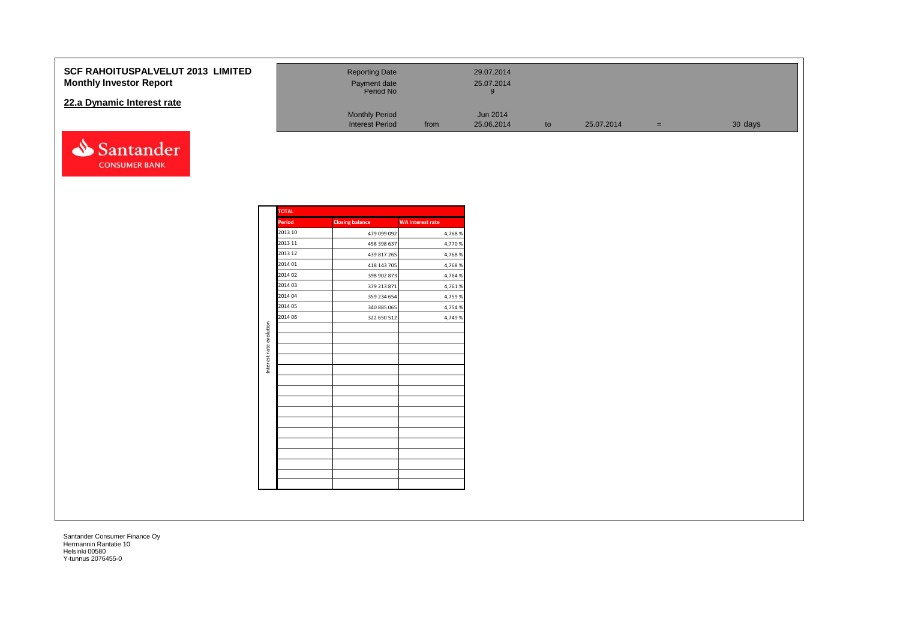### **SCF RAHOITUSPALVELUT 2013 Monthly Investor Report**

### **22.a Dynamic Interest rate**



| <b>LIMITED</b> | <b>Reporting Date</b><br>Payment date<br>Period No |      | 29.07.2014<br>25.07.2014 |    |            |     |         |
|----------------|----------------------------------------------------|------|--------------------------|----|------------|-----|---------|
|                | <b>Monthly Period</b><br><b>Interest Period</b>    | from | Jun 2014<br>25.06.2014   | to | 25.07.2014 | $=$ | 30 days |

|                         | TOTAL         |                        |                         |
|-------------------------|---------------|------------------------|-------------------------|
|                         | <b>Period</b> | <b>Closing balance</b> | <b>WA Interest rate</b> |
|                         | 2013 10       | 479 099 092            | 4,768%                  |
|                         | 2013 11       | 458 398 637            | 4,770 %                 |
|                         | 2013 12       | 439 817 265            | 4,768%                  |
|                         | 2014 01       | 418 143 705            | 4,768%                  |
|                         | 2014 02       | 398 902 873            | 4,764 %                 |
|                         | 2014 03       | 379 213 871            | 4,761%                  |
|                         | 2014 04       | 359 234 654            | 4,759 %                 |
|                         | 2014 05       | 340 885 065            | 4,754 %                 |
|                         | 2014 06       | 322 650 512            | 4,749 %                 |
| Interest rate evolution |               |                        |                         |
|                         |               |                        |                         |
|                         |               |                        |                         |
|                         |               |                        |                         |
|                         |               |                        |                         |
|                         |               |                        |                         |
|                         |               |                        |                         |
|                         |               |                        |                         |
|                         |               |                        |                         |
|                         |               |                        |                         |
|                         |               |                        |                         |
|                         |               |                        |                         |
|                         |               |                        |                         |
|                         |               |                        |                         |
|                         |               |                        |                         |
|                         |               |                        |                         |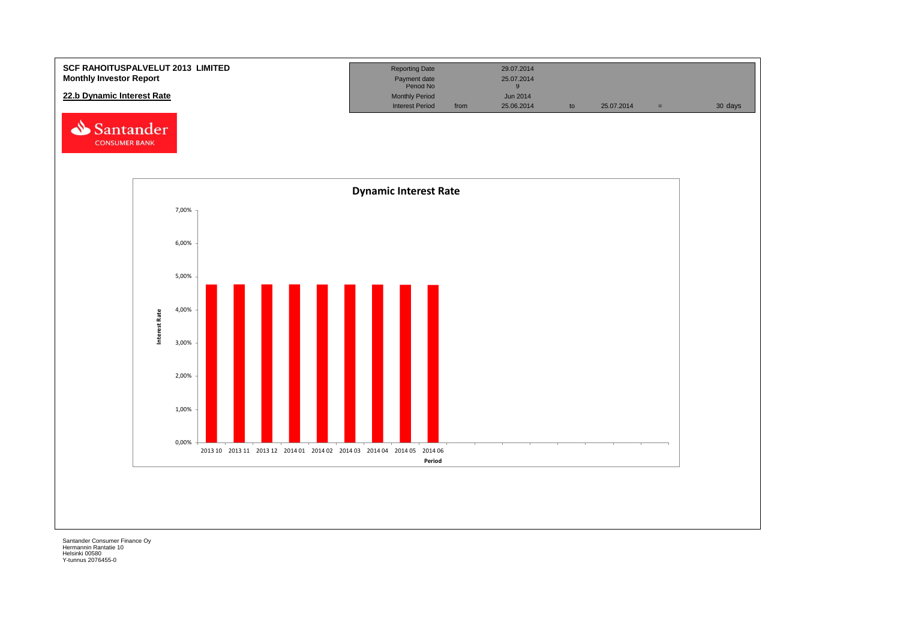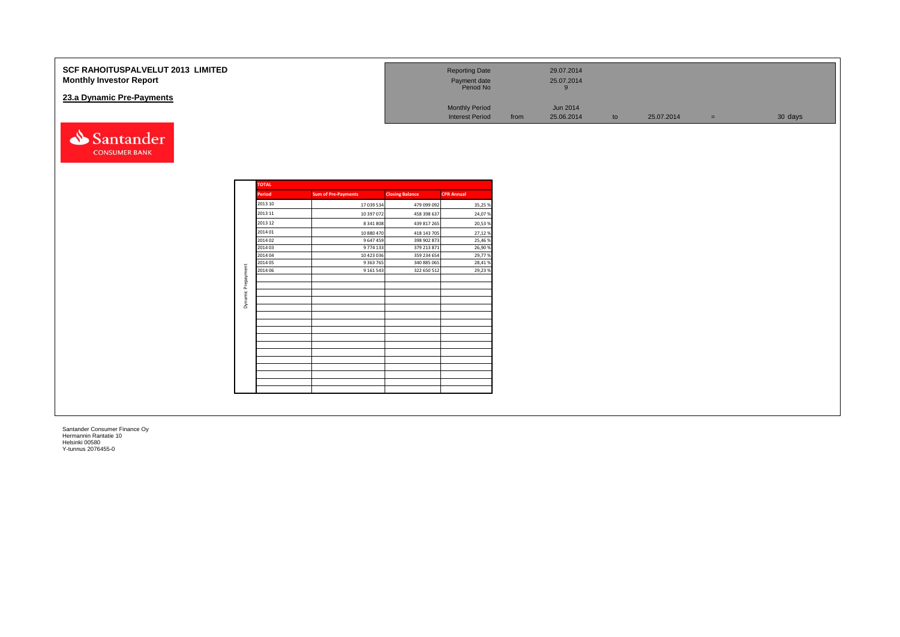| <b>SCF RAHOITUSPALVELUT 2013 LIMITED</b><br><b>Monthly Investor Report</b> |                    |                            |                            | <b>Reporting Date</b><br>Payment date<br>Period No |      | 29.07.2014<br>25.07.2014<br>9 |    |            |     |         |
|----------------------------------------------------------------------------|--------------------|----------------------------|----------------------------|----------------------------------------------------|------|-------------------------------|----|------------|-----|---------|
| 23.a Dynamic Pre-Payments                                                  |                    |                            |                            | <b>Monthly Period</b><br><b>Interest Period</b>    | from | Jun 2014<br>25.06.2014        | to | 25.07.2014 | $=$ | 30 days |
| Santander<br><b>CONSUMER BANK</b>                                          |                    |                            |                            |                                                    |      |                               |    |            |     |         |
|                                                                            | <b>TOTAL</b>       |                            |                            |                                                    |      |                               |    |            |     |         |
|                                                                            | Period             | <b>Sum of Pre-Payments</b> | <b>Closing Balance</b>     | <b>CPR Annual</b>                                  |      |                               |    |            |     |         |
|                                                                            | 2013 10            | 17 039 534                 | 479 099 092                | 35,25 %                                            |      |                               |    |            |     |         |
|                                                                            | 2013 11            | 10 397 072                 | 458 398 637                | 24,07%                                             |      |                               |    |            |     |         |
|                                                                            | 2013 12            | 8 341 808                  | 439 817 265                | 20,53%                                             |      |                               |    |            |     |         |
|                                                                            | 2014 01            | 10 880 470                 | 418 143 705                | 27,12%                                             |      |                               |    |            |     |         |
|                                                                            | 2014 02            | 9 647 459                  | 398 902 873                | 25,46%                                             |      |                               |    |            |     |         |
|                                                                            | 2014 03            | 9 774 133                  | 379 213 871                | 26,90 %                                            |      |                               |    |            |     |         |
|                                                                            | 2014 04            | 10 423 036                 | 359 234 654                | 29,77%                                             |      |                               |    |            |     |         |
|                                                                            | 2014 05<br>2014 06 | 9 3 63 7 65<br>9 161 543   | 340 885 065<br>322 650 512 | 28,41%<br>29,23%                                   |      |                               |    |            |     |         |
|                                                                            | Dynamic Prepayment |                            |                            |                                                    |      |                               |    |            |     |         |
|                                                                            |                    |                            |                            |                                                    |      |                               |    |            |     |         |
|                                                                            |                    |                            |                            |                                                    |      |                               |    |            |     |         |
|                                                                            |                    |                            |                            |                                                    |      |                               |    |            |     |         |
|                                                                            |                    |                            |                            |                                                    |      |                               |    |            |     |         |
|                                                                            |                    |                            |                            |                                                    |      |                               |    |            |     |         |
|                                                                            |                    |                            |                            |                                                    |      |                               |    |            |     |         |
|                                                                            |                    |                            |                            |                                                    |      |                               |    |            |     |         |
|                                                                            |                    |                            |                            |                                                    |      |                               |    |            |     |         |
|                                                                            |                    |                            |                            |                                                    |      |                               |    |            |     |         |
|                                                                            |                    |                            |                            |                                                    |      |                               |    |            |     |         |
|                                                                            |                    |                            |                            |                                                    |      |                               |    |            |     |         |
|                                                                            |                    |                            |                            |                                                    |      |                               |    |            |     |         |
|                                                                            |                    |                            |                            |                                                    |      |                               |    |            |     |         |
|                                                                            |                    |                            |                            |                                                    |      |                               |    |            |     |         |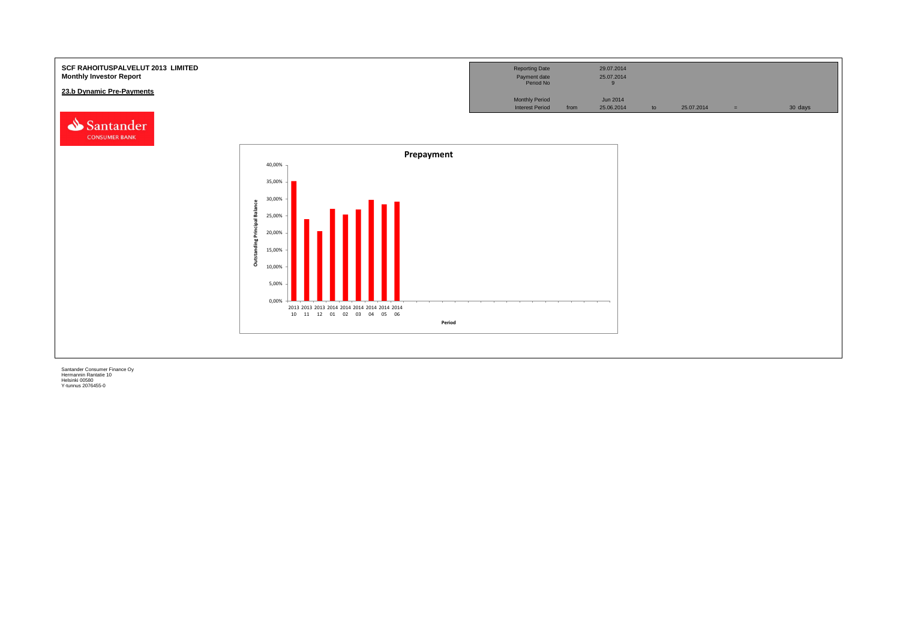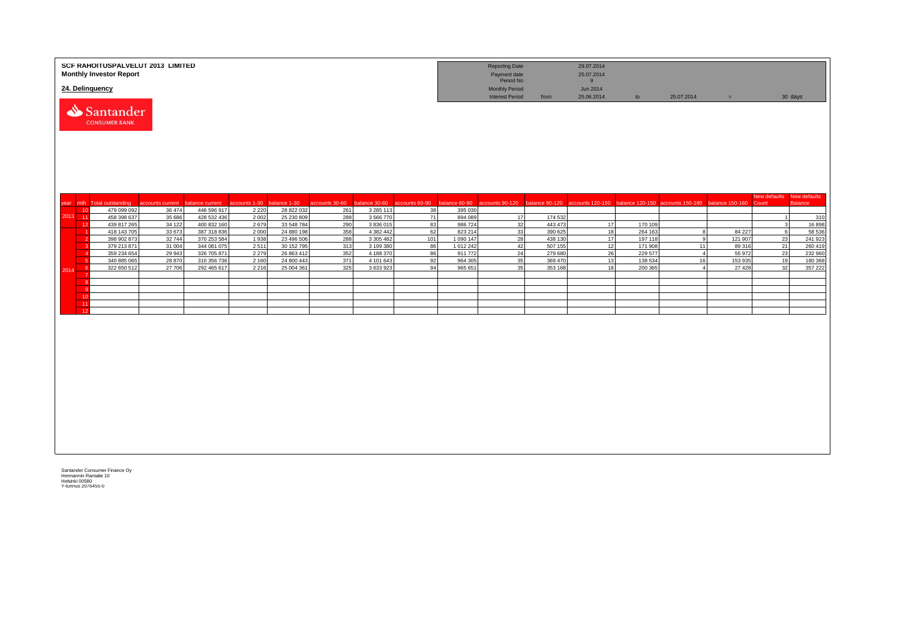|                 | SCF RAHOITUSPALVELUT 2013 LIMITED<br><b>Monthly Investor Report</b> |                  |                            |               |                          |                |                        |                |                      | <b>Reporting Date</b><br>Payment date<br>Period No |                    | 29.07.2014<br>25.07.2014<br>9                                                    |                    |                |                   |                                    |                 |
|-----------------|---------------------------------------------------------------------|------------------|----------------------------|---------------|--------------------------|----------------|------------------------|----------------|----------------------|----------------------------------------------------|--------------------|----------------------------------------------------------------------------------|--------------------|----------------|-------------------|------------------------------------|-----------------|
| 24. Delinquency |                                                                     |                  |                            |               |                          |                |                        |                |                      | <b>Monthly Period</b><br><b>Interest Period</b>    | from               | Jun 2014<br>25.06.2014                                                           | to                 | 25.07.2014     | $=$               |                                    | 30 days         |
|                 | Santander<br><b>CONSUMER BANK</b>                                   |                  |                            |               |                          |                |                        |                |                      |                                                    |                    |                                                                                  |                    |                |                   |                                    |                 |
|                 | year mth Total outstanding                                          | accounts current | palance current            | accounts 1-30 | balance 1-30             | accounts 30-60 | alance 30-60           | accounts 60-90 | palance 60-90        | ccounts 90-120                                     |                    | balance 90-120 accounts 120-150 balance 120-150 accounts 150-180 balance 150-180 |                    |                |                   | New defaults New defaults<br>Count | <b>Balance</b>  |
| 10              | 479 099 092                                                         | 36 474           | 446 596 917                | 2 2 2 0       | 28 822 032               | 261            | 3 285 113              | 38             | 395 030              |                                                    |                    |                                                                                  |                    |                |                   |                                    |                 |
| 2013 11         | 458 398 637                                                         | 35 686           | 428 532 436                | 2 0 0 2       | 25 230 809               | 288            | 3 566 770              | 71             | 894 089              | 17                                                 | 174 532            |                                                                                  |                    |                |                   |                                    | 310             |
| 12              | 439 817 265                                                         | 34 122           | 400 832 160                | 2679          | 33 548 784               | 290            | 3 836 015              | 83<br>62       | 986 724              | 32                                                 | 443 473            | 17                                                                               | 170 109            | $\mathbf{R}$   |                   |                                    | 16898<br>58 536 |
|                 | 418 143 705<br>398 902 873                                          | 33 673<br>32744  | 387 318 836<br>370 253 584 | 2000<br>1938  | 24 880 198<br>23 496 506 | 358<br>288     | 4 382 442<br>3 305 482 | 101            | 823 214<br>1 090 147 | 33<br>28                                           | 390 625<br>438 130 | 18<br>17                                                                         | 264 163<br>197 118 | $\mathbf{q}$   | 84 227<br>121 907 | 6<br>23                            | 241 923         |
|                 | 379 213 871                                                         | 31 004           | 344 081 075                | 2511          | 30 152 795               | 313            | 3 199 380              | 86             | 1 012 242            | 42                                                 | 507 155            | 12                                                                               | 171 908            | 11             | 89 316            | 21                                 | 260 419         |
|                 | 359 234 654                                                         | 29 943           | 326 705 871                | 2 2 7 9       | 26 863 412               | 352            | 4 188 370              | 86             | 911 772              | 24                                                 | 279 680            | 26                                                                               | 229 577            | $\overline{4}$ | 55 972            | 23                                 | 232 960         |
|                 | 340 885 065                                                         | 28 870           | 310 356 736                | 2 1 6 0       | 24 800 443               | 371            | 4 101 643              | 92             | 964 305              | 35                                                 | 369 470            | 13                                                                               | 138 534            | 16             | 153 935           | 19                                 | 180 368         |
| 2014            | 322 650 512                                                         | 27 706           | 292 465 617                | 2 2 1 6       | 25 004 361               | 325            | 3 633 923              | 94             | 965 651              | 35                                                 | 353 168            | 18                                                                               | 200 365            | $\mathbf{A}$   | 27 4 28           | 32                                 | 357 222         |
|                 |                                                                     |                  |                            |               |                          |                |                        |                |                      |                                                    |                    |                                                                                  |                    |                |                   |                                    |                 |
|                 |                                                                     |                  |                            |               |                          |                |                        |                |                      |                                                    |                    |                                                                                  |                    |                |                   |                                    |                 |
| 10              |                                                                     |                  |                            |               |                          |                |                        |                |                      |                                                    |                    |                                                                                  |                    |                |                   |                                    |                 |
| 11              |                                                                     |                  |                            |               |                          |                |                        |                |                      |                                                    |                    |                                                                                  |                    |                |                   |                                    |                 |
| 12              |                                                                     |                  |                            |               |                          |                |                        |                |                      |                                                    |                    |                                                                                  |                    |                |                   |                                    |                 |
|                 |                                                                     |                  |                            |               |                          |                |                        |                |                      |                                                    |                    |                                                                                  |                    |                |                   |                                    |                 |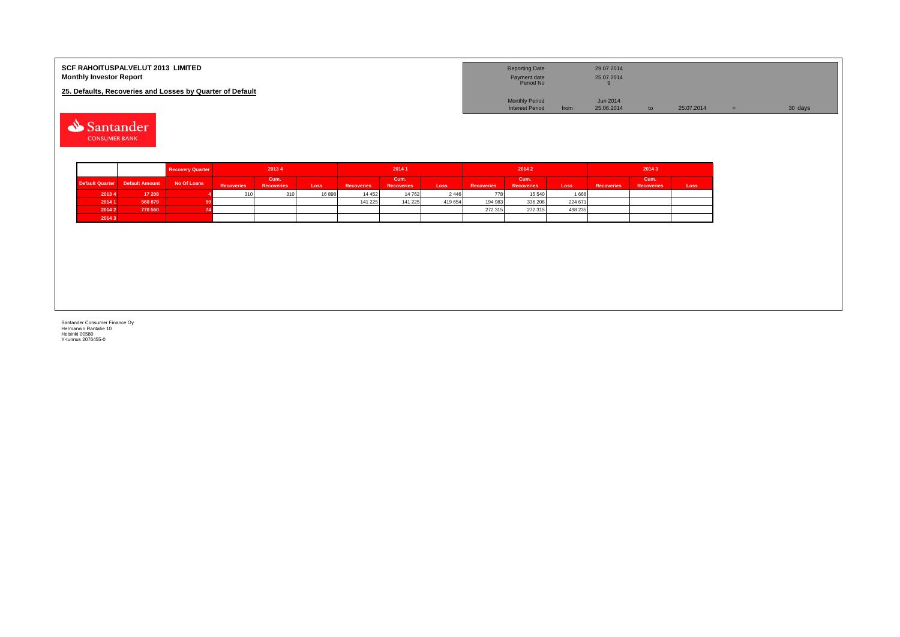| <b>SCF RAHOITUSPALVELUT 2013 LIMITED</b><br><b>Monthly Investor Report</b> | <b>Reporting Date</b><br>Payment date<br>Period No |      | 29.07.2014<br>25.07.2014 |  |            |         |
|----------------------------------------------------------------------------|----------------------------------------------------|------|--------------------------|--|------------|---------|
| 25. Defaults, Recoveries and Losses by Quarter of Default                  |                                                    |      |                          |  |            |         |
|                                                                            | <b>Monthly Period</b>                              |      | Jun 2014                 |  |            |         |
|                                                                            | <b>Interest Period</b>                             | from | 25.06.2014               |  | 25.07.2014 | 30 days |

Santander **CONSUMER BANK** 

|        |                                | <b>Recovery Quarter</b> | 20134             |                           |       | 20141             |                           |         |                   | 20142                     |         | 2014 3            |                           |      |  |
|--------|--------------------------------|-------------------------|-------------------|---------------------------|-------|-------------------|---------------------------|---------|-------------------|---------------------------|---------|-------------------|---------------------------|------|--|
|        | Default Quarter Default Amount | No Of Loans             | <b>Recoveries</b> | Cum.<br><b>Recoveries</b> | Loss  | <b>Recoveries</b> | Cum.<br><b>Recoveries</b> | Loss    | <b>Recoveries</b> | Cum.<br><b>Recoveries</b> | Loss    | <b>Recoveries</b> | Cum.<br><b>Recoveries</b> | Loss |  |
| 20134  | 17 208                         |                         | 310               | 241                       | 16898 | 14 4 5 2          | 14 762                    | 2 4 4 6 | 778               | 15 540                    | 1 6 6 8 |                   |                           |      |  |
| 2014 1 | 560 879                        |                         |                   |                           |       | 141 225           | 141 225                   | 419 654 | 194 983           | 336 208                   | 224 671 |                   |                           |      |  |
| 2014 2 | 770 550                        |                         |                   |                           |       |                   |                           |         | 272 315           | 272 315                   | 498 235 |                   |                           |      |  |
| 20143  |                                |                         |                   |                           |       |                   |                           |         |                   |                           |         |                   |                           |      |  |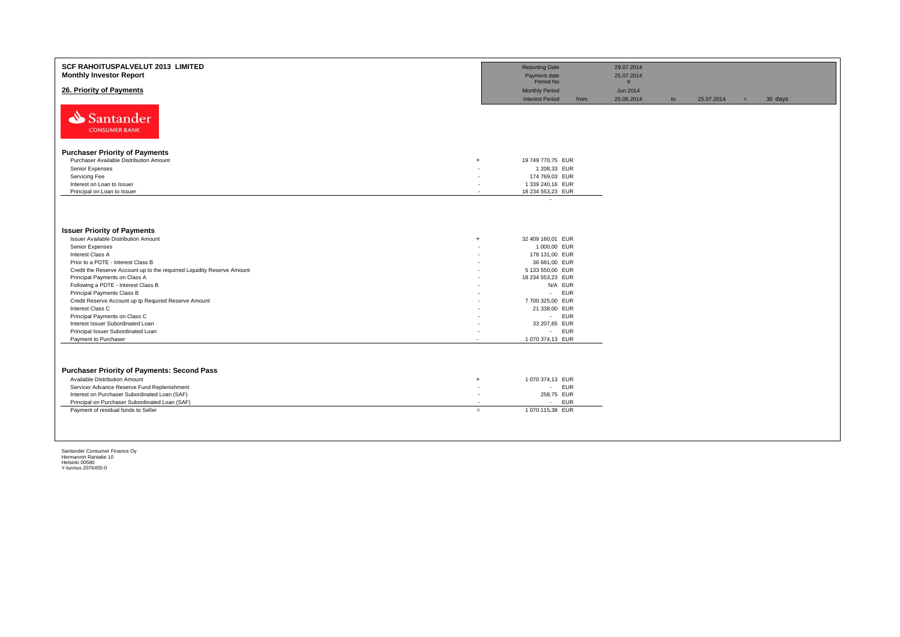| <b>SCF RAHOITUSPALVELUT 2013 LIMITED</b><br><b>Monthly Investor Report</b> |                          | <b>Reporting Date</b><br>Payment date<br>Period No |      | 29.07.2014<br>25.07.2014<br>9 |    |            |     |         |
|----------------------------------------------------------------------------|--------------------------|----------------------------------------------------|------|-------------------------------|----|------------|-----|---------|
| 26. Priority of Payments                                                   |                          | <b>Monthly Period</b><br><b>Interest Period</b>    | from | Jun 2014<br>25.06.2014        | to | 25.07.2014 | $=$ | 30 days |
| Santander<br><b>CONSUMER BANK</b>                                          |                          |                                                    |      |                               |    |            |     |         |
| <b>Purchaser Priority of Payments</b>                                      |                          |                                                    |      |                               |    |            |     |         |
| Purchaser Available Distribution Amount<br>$+$                             |                          | 19 749 770,75 EUR                                  |      |                               |    |            |     |         |
| Senior Expenses                                                            |                          | 1 208,33 EUR                                       |      |                               |    |            |     |         |
| Servicing Fee                                                              |                          | 174 769,03 EUR                                     |      |                               |    |            |     |         |
| Interest on Loan to Issuer                                                 | ٠                        | 1 339 240,16 EUR                                   |      |                               |    |            |     |         |
| Principal on Loan to Issuer                                                | $\overline{\phantom{a}}$ | 18 234 553,23 EUR                                  |      |                               |    |            |     |         |
|                                                                            |                          | $\overline{\phantom{a}}$                           |      |                               |    |            |     |         |
| <b>Issuer Priority of Payments</b>                                         |                          |                                                    |      |                               |    |            |     |         |
| <b>Issuer Available Distribution Amount</b><br>$+$                         |                          | 32 409 160,01 EUR                                  |      |                               |    |            |     |         |
| Senior Expenses                                                            |                          | 1 000,00 EUR                                       |      |                               |    |            |     |         |
| Interest Class A                                                           | ٠                        | 178 131,00 EUR                                     |      |                               |    |            |     |         |
| Prior to a PDTE - Interest Class B                                         |                          | 36 681,00 EUR                                      |      |                               |    |            |     |         |
| Credit the Reserve Account up to the requirred Liquidity Reserve Amount    |                          | 5 133 550,00 EUR                                   |      |                               |    |            |     |         |
| Principal Payments on Class A                                              |                          | 18 234 553,23 EUR                                  |      |                               |    |            |     |         |
| Following a PDTE - Interest Class B                                        | ٠                        | N/A EUR                                            |      |                               |    |            |     |         |
| Principal Payments Class B                                                 |                          | <b>EUR</b><br>$\sim$                               |      |                               |    |            |     |         |
| Credit Reserve Account up tp Required Reserve Amount<br>Interest Class C   | ٠                        | 7 700 325,00 EUR<br>21 338,00 EUR                  |      |                               |    |            |     |         |
| Principal Payments on Class C                                              | ٠                        | - EUR                                              |      |                               |    |            |     |         |
| Interest Issuer Subordinated Loan                                          |                          | 33 207,65 EUR                                      |      |                               |    |            |     |         |
| Principal Issuer Subordinated Loan                                         | ٠                        | - EUR                                              |      |                               |    |            |     |         |
| Payment to Purchaser<br>$\sim$                                             |                          | 1 070 374,13 EUR                                   |      |                               |    |            |     |         |
|                                                                            |                          |                                                    |      |                               |    |            |     |         |
| <b>Purchaser Priority of Payments: Second Pass</b>                         |                          |                                                    |      |                               |    |            |     |         |
| Available Distribution Amount<br>$+$                                       |                          | 1 070 374,13 EUR                                   |      |                               |    |            |     |         |
| Servicer Advance Reserve Fund Replenishment                                | $\overline{\phantom{a}}$ | - EUR                                              |      |                               |    |            |     |         |
| Interest on Purchaser Subordinated Loan (SAF)                              | $\overline{\phantom{a}}$ | 258,75 EUR                                         |      |                               |    |            |     |         |
| Principal on Purchaser Subordinated Loan (SAF)                             | $\overline{\phantom{a}}$ | <b>EUR</b><br>$\overline{\phantom{a}}$             |      |                               |    |            |     |         |
| Payment of residual funds to Seller<br>$=$                                 |                          | 1 070 115,38 EUR                                   |      |                               |    |            |     |         |
|                                                                            |                          |                                                    |      |                               |    |            |     |         |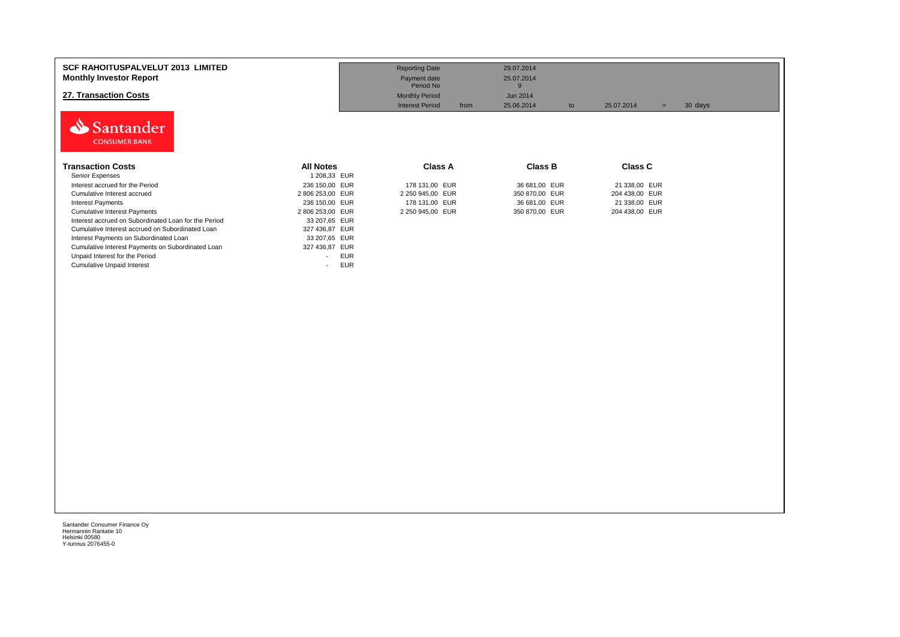| <b>SCF RAHOITUSPALVELUT 2013 LIMITED</b><br><b>Monthly Investor Report</b><br>27. Transaction Costs<br>Santander<br><b>CONSUMER BANK</b> |                                        | <b>Reporting Date</b><br>Payment date<br>Period No<br><b>Monthly Period</b><br><b>Interest Period</b><br>from | 29.07.2014<br>25.07.2014<br>9<br>Jun 2014<br>25.06.2014<br>to | 25.07.2014<br>$=$ | 30 days |
|------------------------------------------------------------------------------------------------------------------------------------------|----------------------------------------|---------------------------------------------------------------------------------------------------------------|---------------------------------------------------------------|-------------------|---------|
| Transaction Costs                                                                                                                        | <b>All Notes</b>                       | <b>Class A</b>                                                                                                | <b>Class B</b>                                                | <b>Class C</b>    |         |
| Senior Expenses                                                                                                                          | 1 208,33 EUR                           |                                                                                                               |                                                               |                   |         |
| Interest accrued for the Period                                                                                                          | 236 150,00 EUR                         | 178 131,00 EUR                                                                                                | 36 681,00 EUR                                                 | 21 338,00 EUR     |         |
| Cumulative Interest accrued                                                                                                              | 2 806 253,00 EUR                       | 2 250 945,00 EUR                                                                                              | 350 870,00 EUR                                                | 204 438,00 EUR    |         |
| <b>Interest Payments</b>                                                                                                                 | 236 150,00 EUR                         | 178 131,00 EUR                                                                                                | 36 681,00 EUR                                                 | 21 338,00 EUR     |         |
| <b>Cumulative Interest Payments</b>                                                                                                      | 2 806 253,00 EUR                       | 2 250 945,00 EUR                                                                                              | 350 870,00 EUR                                                | 204 438,00 EUR    |         |
| Interest accrued on Subordinated Loan for the Period                                                                                     | 33 207,65 EUR                          |                                                                                                               |                                                               |                   |         |
| Cumulative Interest accrued on Subordinated Loan                                                                                         | 327 436,87 EUR                         |                                                                                                               |                                                               |                   |         |
| Interest Payments on Subordinated Loan                                                                                                   | 33 207,65 EUR                          |                                                                                                               |                                                               |                   |         |
| Cumulative Interest Payments on Subordinated Loan                                                                                        | 327 436,87 EUR                         |                                                                                                               |                                                               |                   |         |
| Unpaid Interest for the Period                                                                                                           | <b>EUR</b><br>$\overline{\phantom{a}}$ |                                                                                                               |                                                               |                   |         |
| <b>Cumulative Unpaid Interest</b>                                                                                                        | <b>EUR</b><br>$\overline{\phantom{a}}$ |                                                                                                               |                                                               |                   |         |